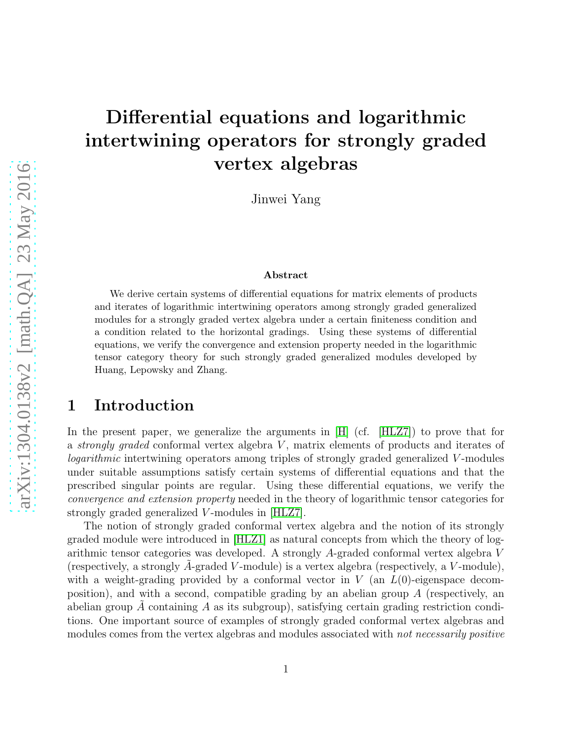# Differential equations and logarithmic intertwining operators for strongly graded vertex algebras

Jinwei Yang

#### Abstract

We derive certain systems of differential equations for matrix elements of products and iterates of logarithmic intertwining operators among strongly graded generalized modules for a strongly graded vertex algebra under a certain finiteness condition and a condition related to the horizontal gradings. Using these systems of differential equations, we verify the convergence and extension property needed in the logarithmic tensor category theory for such strongly graded generalized modules developed by Huang, Lepowsky and Zhang.

#### 1 Introduction

In the present paper, we generalize the arguments in [\[H\]](#page-24-0) (cf. [\[HLZ7\]](#page-25-0)) to prove that for a strongly graded conformal vertex algebra  $V$ , matrix elements of products and iterates of logarithmic intertwining operators among triples of strongly graded generalized V-modules under suitable assumptions satisfy certain systems of differential equations and that the prescribed singular points are regular. Using these differential equations, we verify the convergence and extension property needed in the theory of logarithmic tensor categories for strongly graded generalized V -modules in [\[HLZ7\]](#page-25-0).

The notion of strongly graded conformal vertex algebra and the notion of its strongly graded module were introduced in [\[HLZ1\]](#page-24-1) as natural concepts from which the theory of logarithmic tensor categories was developed. A strongly A-graded conformal vertex algebra V (respectively, a strongly A-graded V-module) is a vertex algebra (respectively, a V-module), with a weight-grading provided by a conformal vector in  $V$  (an  $L(0)$ -eigenspace decomposition), and with a second, compatible grading by an abelian group  $A$  (respectively, an abelian group A containing A as its subgroup), satisfying certain grading restriction conditions. One important source of examples of strongly graded conformal vertex algebras and modules comes from the vertex algebras and modules associated with *not necessarily positive*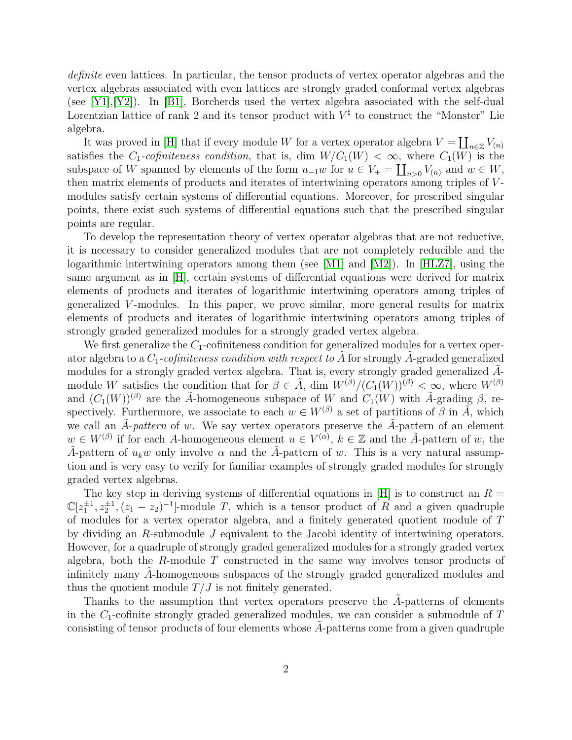definite even lattices. In particular, the tensor products of vertex operator algebras and the vertex algebras associated with even lattices are strongly graded conformal vertex algebras (see [\[Y1\]](#page-25-1),[\[Y2\]](#page-25-2)). In [\[B1\]](#page-24-2), Borcherds used the vertex algebra associated with the self-dual Lorentzian lattice of rank 2 and its tensor product with  $V^{\natural}$  to construct the "Monster" Lie algebra.

It was proved in [\[H\]](#page-24-0) that if every module W for a vertex operator algebra  $V = \coprod_{n \in \mathbb{Z}} V(n)$ satisfies the  $C_1$ -cofiniteness condition, that is, dim  $W/C_1(W) < \infty$ , where  $C_1(W)$  is the subspace of W spanned by elements of the form  $u_{-1}w$  for  $u \in V_+ = \coprod_{n>0} V_{(n)}$  and  $w \in W$ , then matrix elements of products and iterates of intertwining operators among triples of V modules satisfy certain systems of differential equations. Moreover, for prescribed singular points, there exist such systems of differential equations such that the prescribed singular points are regular.

To develop the representation theory of vertex operator algebras that are not reductive, it is necessary to consider generalized modules that are not completely reducible and the logarithmic intertwining operators among them (see [\[M1\]](#page-25-3) and [\[M2\]](#page-25-4)). In [\[HLZ7\]](#page-25-0), using the same argument as in [\[H\]](#page-24-0), certain systems of differential equations were derived for matrix elements of products and iterates of logarithmic intertwining operators among triples of generalized V -modules. In this paper, we prove similar, more general results for matrix elements of products and iterates of logarithmic intertwining operators among triples of strongly graded generalized modules for a strongly graded vertex algebra.

We first generalize the  $C_1$ -cofiniteness condition for generalized modules for a vertex operator algebra to a  $C_1$ -cofiniteness condition with respect to  $\tilde{A}$  for strongly  $\tilde{A}$ -graded generalized modules for a strongly graded vertex algebra. That is, every strongly graded generalized  $\ddot{A}$ module W satisfies the condition that for  $\beta \in \tilde{A}$ , dim  $W^{(\beta)}/(C_1(W))^{(\beta)} < \infty$ , where  $W^{(\beta)}$ and  $(C_1(W))^{(\beta)}$  are the  $\tilde{A}$ -homogeneous subspace of W and  $C_1(W)$  with  $\tilde{A}$ -grading  $\beta$ , respectively. Furthermore, we associate to each  $w \in W^{(\beta)}$  a set of partitions of  $\beta$  in  $\tilde{A}$ , which we call an A-pattern of w. We say vertex operators preserve the A-pattern of an element  $w \in W^{(\beta)}$  if for each A-homogeneous element  $u \in V^{(\alpha)}$ ,  $k \in \mathbb{Z}$  and the  $\tilde{A}$ -pattern of w, the A-pattern of  $u_k w$  only involve  $\alpha$  and the A-pattern of w. This is a very natural assumption and is very easy to verify for familiar examples of strongly graded modules for strongly graded vertex algebras.

The key step in deriving systems of differential equations in [\[H\]](#page-24-0) is to construct an  $R =$  $\mathbb{C}[z_1^{\pm 1}, z_2^{\pm 1}, (z_1 - z_2)^{-1}]$ -module T, which is a tensor product of R and a given quadruple of modules for a vertex operator algebra, and a finitely generated quotient module of T by dividing an R-submodule J equivalent to the Jacobi identity of intertwining operators. However, for a quadruple of strongly graded generalized modules for a strongly graded vertex algebra, both the R-module  $T$  constructed in the same way involves tensor products of infinitely many A-homogeneous subspaces of the strongly graded generalized modules and thus the quotient module  $T/J$  is not finitely generated.

Thanks to the assumption that vertex operators preserve the  $A$ -patterns of elements in the  $C_1$ -cofinite strongly graded generalized modules, we can consider a submodule of  $T$ consisting of tensor products of four elements whose A-patterns come from a given quadruple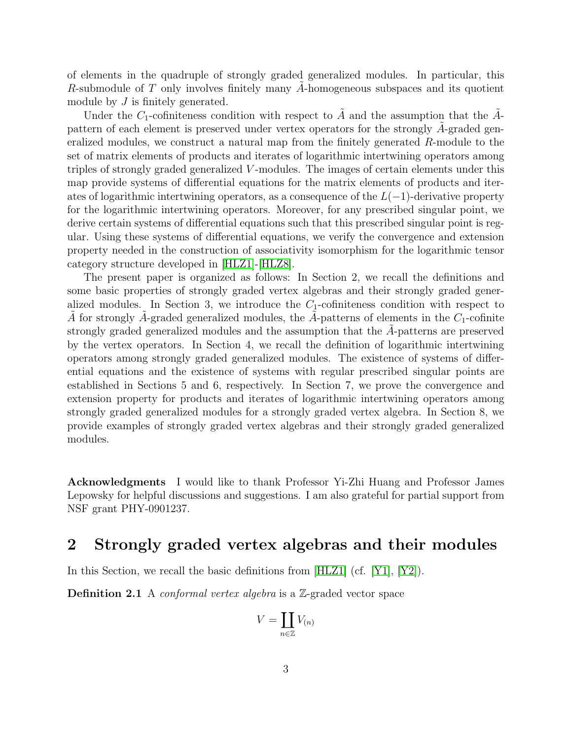of elements in the quadruple of strongly graded generalized modules. In particular, this R-submodule of  $T$  only involves finitely many A-homogeneous subspaces and its quotient module by  $J$  is finitely generated.

Under the  $C_1$ -cofiniteness condition with respect to  $\tilde{A}$  and the assumption that the  $\tilde{A}$ pattern of each element is preserved under vertex operators for the strongly  $\ddot{A}$ -graded generalized modules, we construct a natural map from the finitely generated R-module to the set of matrix elements of products and iterates of logarithmic intertwining operators among triples of strongly graded generalized V -modules. The images of certain elements under this map provide systems of differential equations for the matrix elements of products and iterates of logarithmic intertwining operators, as a consequence of the  $L(-1)$ -derivative property for the logarithmic intertwining operators. Moreover, for any prescribed singular point, we derive certain systems of differential equations such that this prescribed singular point is regular. Using these systems of differential equations, we verify the convergence and extension property needed in the construction of associativity isomorphism for the logarithmic tensor category structure developed in [\[HLZ1\]](#page-24-1)-[\[HLZ8\]](#page-25-5).

The present paper is organized as follows: In Section 2, we recall the definitions and some basic properties of strongly graded vertex algebras and their strongly graded generalized modules. In Section 3, we introduce the  $C_1$ -cofiniteness condition with respect to A for strongly A-graded generalized modules, the A-patterns of elements in the  $C_1$ -cofinite strongly graded generalized modules and the assumption that the A-patterns are preserved by the vertex operators. In Section 4, we recall the definition of logarithmic intertwining operators among strongly graded generalized modules. The existence of systems of differential equations and the existence of systems with regular prescribed singular points are established in Sections 5 and 6, respectively. In Section 7, we prove the convergence and extension property for products and iterates of logarithmic intertwining operators among strongly graded generalized modules for a strongly graded vertex algebra. In Section 8, we provide examples of strongly graded vertex algebras and their strongly graded generalized modules.

Acknowledgments I would like to thank Professor Yi-Zhi Huang and Professor James Lepowsky for helpful discussions and suggestions. I am also grateful for partial support from NSF grant PHY-0901237.

## 2 Strongly graded vertex algebras and their modules

In this Section, we recall the basic definitions from [\[HLZ1\]](#page-24-1) (cf. [\[Y1\]](#page-25-1), [\[Y2\]](#page-25-2)).

**Definition 2.1** A *conformal vertex algebra* is a  $\mathbb{Z}$ -graded vector space

$$
V = \coprod_{n \in \mathbb{Z}} V_{(n)}
$$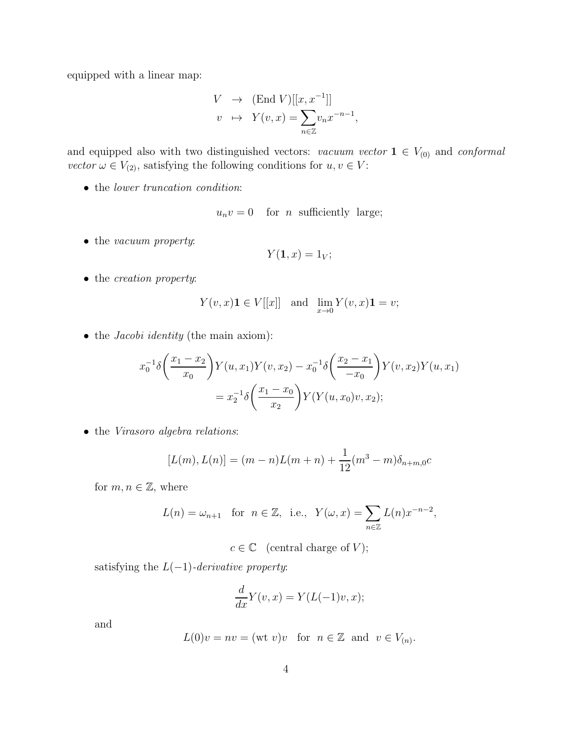equipped with a linear map:

$$
V \rightarrow (\text{End } V)[[x, x^{-1}]]
$$
  

$$
v \rightarrow Y(v, x) = \sum_{n \in \mathbb{Z}} v_n x^{-n-1},
$$

and equipped also with two distinguished vectors: vacuum vector  $1 \in V_{(0)}$  and conformal *vector*  $\omega \in V_{(2)}$ , satisfying the following conditions for  $u, v \in V$ :

• the lower truncation condition:

$$
u_n v = 0 \quad \text{for } n \text{ sufficiently large};
$$

• the *vacuum property*:

$$
Y(\mathbf{1},x)=1_V;
$$

• the *creation property*:

$$
Y(v, x)\mathbf{1} \in V[[x]] \quad \text{and} \quad \lim_{x \to 0} Y(v, x)\mathbf{1} = v;
$$

• the *Jacobi identity* (the main axiom):

$$
x_0^{-1}\delta\left(\frac{x_1 - x_2}{x_0}\right)Y(u, x_1)Y(v, x_2) - x_0^{-1}\delta\left(\frac{x_2 - x_1}{-x_0}\right)Y(v, x_2)Y(u, x_1)
$$
  
=  $x_2^{-1}\delta\left(\frac{x_1 - x_0}{x_2}\right)Y(Y(u, x_0)v, x_2);$ 

• the Virasoro algebra relations:

$$
[L(m), L(n)] = (m - n)L(m + n) + \frac{1}{12}(m^{3} - m)\delta_{n+m,0}c
$$

for  $m, n \in \mathbb{Z}$ , where

$$
L(n) = \omega_{n+1}
$$
 for  $n \in \mathbb{Z}$ , i.e.,  $Y(\omega, x) = \sum_{n \in \mathbb{Z}} L(n) x^{-n-2}$ ,

 $c \in \mathbb{C}$  (central charge of V);

satisfying the  $L(-1)$ -derivative property:

$$
\frac{d}{dx}Y(v,x) = Y(L(-1)v, x);
$$

and

$$
L(0)v = nv = (wt v)v \text{ for } n \in \mathbb{Z} \text{ and } v \in V_{(n)}.
$$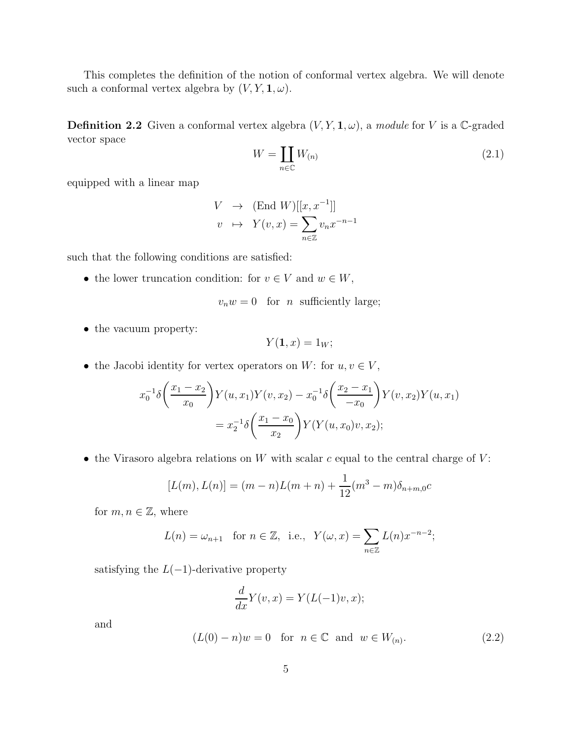This completes the definition of the notion of conformal vertex algebra. We will denote such a conformal vertex algebra by  $(V, Y, \mathbf{1}, \omega)$ .

**Definition 2.2** Given a conformal vertex algebra  $(V, Y, \mathbf{1}, \omega)$ , a module for V is a C-graded vector space

<span id="page-4-0"></span>
$$
W = \coprod_{n \in \mathbb{C}} W_{(n)} \tag{2.1}
$$

equipped with a linear map

$$
V \rightarrow (\text{End } W)[[x, x^{-1}]]
$$
  

$$
v \rightarrow Y(v, x) = \sum_{n \in \mathbb{Z}} v_n x^{-n-1}
$$

such that the following conditions are satisfied:

• the lower truncation condition: for  $v \in V$  and  $w \in W$ ,

$$
v_n w = 0 \quad \text{for} \quad n \quad \text{sufficiently large};
$$

• the vacuum property:

$$
Y(\mathbf{1},x)=1_W;
$$

• the Jacobi identity for vertex operators on W: for  $u, v \in V$ ,

$$
x_0^{-1}\delta\left(\frac{x_1 - x_2}{x_0}\right)Y(u, x_1)Y(v, x_2) - x_0^{-1}\delta\left(\frac{x_2 - x_1}{-x_0}\right)Y(v, x_2)Y(u, x_1)
$$
  
=  $x_2^{-1}\delta\left(\frac{x_1 - x_0}{x_2}\right)Y(Y(u, x_0)v, x_2);$ 

• the Virasoro algebra relations on  $W$  with scalar  $c$  equal to the central charge of  $V$ :

$$
[L(m), L(n)] = (m - n)L(m + n) + \frac{1}{12}(m^{3} - m)\delta_{n+m,0}c
$$

for  $m, n \in \mathbb{Z}$ , where

$$
L(n) = \omega_{n+1} \quad \text{for } n \in \mathbb{Z}, \text{ i.e., } Y(\omega, x) = \sum_{n \in \mathbb{Z}} L(n) x^{-n-2};
$$

satisfying the  $L(-1)$ -derivative property

$$
\frac{d}{dx}Y(v,x) = Y(L(-1)v,x);
$$

and

<span id="page-4-1"></span>
$$
(L(0) - n)w = 0 \quad \text{for} \quad n \in \mathbb{C} \quad \text{and} \quad w \in W_{(n)}.\tag{2.2}
$$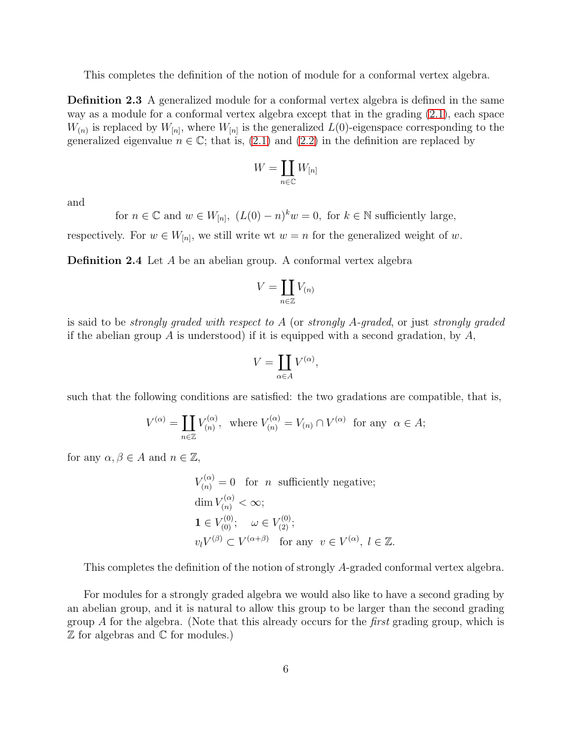This completes the definition of the notion of module for a conformal vertex algebra.

Definition 2.3 A generalized module for a conformal vertex algebra is defined in the same way as a module for a conformal vertex algebra except that in the grading [\(2.1\)](#page-4-0), each space  $W_{(n)}$  is replaced by  $W_{[n]}$ , where  $W_{[n]}$  is the generalized  $L(0)$ -eigenspace corresponding to the generalized eigenvalue  $n \in \mathbb{C}$ ; that is, [\(2.1\)](#page-4-0) and [\(2.2\)](#page-4-1) in the definition are replaced by

$$
W=\coprod_{n\in\mathbb{C}}W_{[n]}
$$

and

for  $n \in \mathbb{C}$  and  $w \in W_{[n]}$ ,  $(L(0) - n)^k w = 0$ , for  $k \in \mathbb{N}$  sufficiently large,

<span id="page-5-1"></span>respectively. For  $w \in W_{[n]}$ , we still write wt  $w = n$  for the generalized weight of w.

Definition 2.4 Let A be an abelian group. A conformal vertex algebra

$$
V = \coprod_{n \in \mathbb{Z}} V_{(n)}
$$

is said to be *strongly graded with respect to A* (or *strongly A-graded*, or just *strongly graded* if the abelian group A is understood) if it is equipped with a second gradation, by  $A$ ,

$$
V = \coprod_{\alpha \in A} V^{(\alpha)},
$$

such that the following conditions are satisfied: the two gradations are compatible, that is,

$$
V^{(\alpha)} = \coprod_{n \in \mathbb{Z}} V_{(n)}^{(\alpha)}, \text{ where } V_{(n)}^{(\alpha)} = V_{(n)} \cap V^{(\alpha)} \text{ for any } \alpha \in A;
$$

for any  $\alpha, \beta \in A$  and  $n \in \mathbb{Z}$ ,

$$
V_{(n)}^{(\alpha)} = 0 \quad \text{for} \quad n \quad \text{sufficiently negative};
$$
  
\n
$$
\dim V_{(n)}^{(\alpha)} < \infty;
$$
  
\n
$$
\mathbf{1} \in V_{(0)}^{(0)}; \quad \omega \in V_{(2)}^{(0)};
$$
  
\n
$$
v_l V^{(\beta)} \subset V^{(\alpha+\beta)} \quad \text{for any} \quad v \in V^{(\alpha)}, \ l \in \mathbb{Z}.
$$

This completes the definition of the notion of strongly A-graded conformal vertex algebra.

<span id="page-5-0"></span>For modules for a strongly graded algebra we would also like to have a second grading by an abelian group, and it is natural to allow this group to be larger than the second grading group A for the algebra. (Note that this already occurs for the *first* grading group, which is Z for algebras and C for modules.)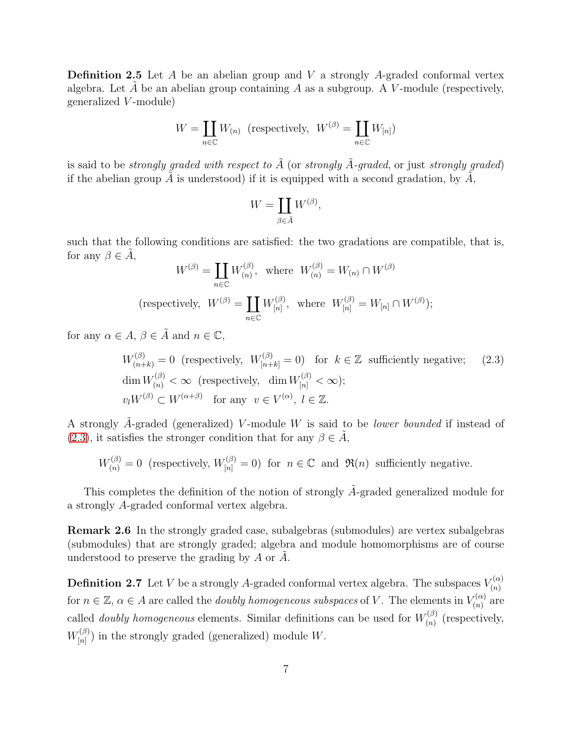**Definition 2.5** Let  $A$  be an abelian group and  $V$  a strongly  $A$ -graded conformal vertex algebra. Let A be an abelian group containing A as a subgroup. A V-module (respectively, generalized V -module)

$$
W = \coprod_{n \in \mathbb{C}} W_{(n)} \text{ (respectively, } W^{(\beta)} = \coprod_{n \in \mathbb{C}} W_{[n]})
$$

is said to be *strongly graded with respect to*  $\tilde{A}$  (or *strongly*  $\tilde{A}$ -graded, or just *strongly graded*) if the abelian group A is understood) if it is equipped with a second gradation, by  $A$ ,

$$
W = \coprod_{\beta \in \tilde{A}} W^{(\beta)},
$$

such that the following conditions are satisfied: the two gradations are compatible, that is, for any  $\beta \in A$ ,

$$
W^{(\beta)} = \coprod_{n \in \mathbb{C}} W^{(\beta)}_{(n)}, \text{ where } W^{(\beta)}_{(n)} = W_{(n)} \cap W^{(\beta)}
$$
  
(respectively,  $W^{(\beta)} = \coprod_{n \in \mathbb{C}} W^{(\beta)}_{[n]}, \text{ where } W^{(\beta)}_{[n]} = W_{[n]} \cap W^{(\beta)});$ 

for any  $\alpha \in A$ ,  $\beta \in \tilde{A}$  and  $n \in \mathbb{C}$ ,

<span id="page-6-0"></span>
$$
W_{(n+k)}^{(\beta)} = 0 \text{ (respectively, } W_{[n+k]}^{(\beta)} = 0 \text{ for } k \in \mathbb{Z} \text{ sufficiently negative;} \quad (2.3)
$$
  
\n
$$
\dim W_{(n)}^{(\beta)} < \infty \text{ (respectively, } \dim W_{[n]}^{(\beta)} < \infty);
$$
  
\n
$$
v_l W^{(\beta)} \subset W^{(\alpha+\beta)} \text{ for any } v \in V^{(\alpha)}, l \in \mathbb{Z}.
$$

A strongly  $\tilde{A}$ -graded (generalized) V-module W is said to be *lower bounded* if instead of [\(2.3\)](#page-6-0), it satisfies the stronger condition that for any  $\beta \in \tilde{A}$ ,

$$
W_{(n)}^{(\beta)} = 0
$$
 (respectively,  $W_{[n]}^{(\beta)} = 0$ ) for  $n \in \mathbb{C}$  and  $\Re(n)$  sufficiently negative.

This completes the definition of the notion of strongly  $\tilde{A}$ -graded generalized module for a strongly A-graded conformal vertex algebra.

Remark 2.6 In the strongly graded case, subalgebras (submodules) are vertex subalgebras (submodules) that are strongly graded; algebra and module homomorphisms are of course understood to preserve the grading by  $A$  or  $A$ .

**Definition 2.7** Let V be a strongly A-graded conformal vertex algebra. The subspaces  $V_{(n)}^{(\alpha)}$ (n) for  $n \in \mathbb{Z}$ ,  $\alpha \in A$  are called the *doubly homogeneous subspaces* of V. The elements in  $V_{(n)}^{(\alpha)}$  $\binom{n}{n}$  are called *doubly homogeneous* elements. Similar definitions can be used for  $W_{(n)}^{(\beta)}$  $\binom{n}{n}$  (respectively,  $W^{(\beta)}_{\scriptscriptstyle [n]}$  $\binom{p}{[n]}$  in the strongly graded (generalized) module W.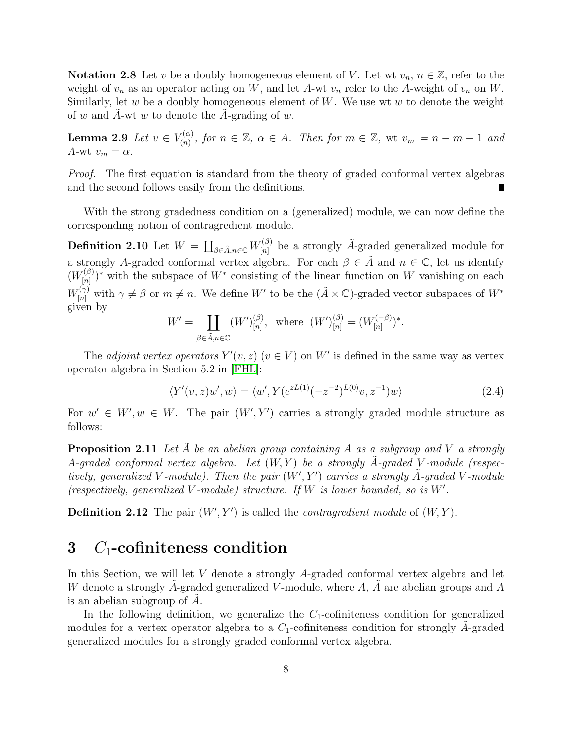Notation 2.8 Let v be a doubly homogeneous element of V. Let wt  $v_n$ ,  $n \in \mathbb{Z}$ , refer to the weight of  $v_n$  as an operator acting on W, and let A-wt  $v_n$  refer to the A-weight of  $v_n$  on W. Similarly, let  $w$  be a doubly homogeneous element of  $W$ . We use wt  $w$  to denote the weight of w and A-wt w to denote the A-grading of w.

**Lemma 2.9** Let  $v \in V_{(n)}^{(\alpha)}$  $\mathcal{F}_{(n)}^{(\alpha)}$ , for  $n \in \mathbb{Z}$ ,  $\alpha \in A$ . Then for  $m \in \mathbb{Z}$ , wt  $v_m = n - m - 1$  and A-wt  $v_m = \alpha$ .

Proof. The first equation is standard from the theory of graded conformal vertex algebras and the second follows easily from the definitions.

With the strong gradedness condition on a (generalized) module, we can now define the corresponding notion of contragredient module.

**Definition 2.10** Let  $W = \coprod_{\beta \in \tilde{A}, n \in \mathbb{C}} W_{[n]}^{(\beta)}$  $\tilde{A}_{[n]}^{(\beta)}$  be a strongly  $\tilde{A}$ -graded generalized module for a strongly A-graded conformal vertex algebra. For each  $\beta \in \tilde{A}$  and  $n \in \mathbb{C}$ , let us identify  $(W_{[n]}^{(\beta)}$  $\binom{n}{n}^*$  with the subspace of  $W^*$  consisting of the linear function on W vanishing on each  $W_{[n]}^{(\gamma)}$  with  $\gamma \neq \beta$  or  $m \neq n$ . We define W' to be the  $(\tilde{A} \times \mathbb{C})$ -graded vector subspaces of  $W^*$ given by

$$
W' = \coprod_{\beta \in \tilde{A}, n \in \mathbb{C}} (W')_{[n]}^{(\beta)}, \text{ where } (W')_{[n]}^{(\beta)} = (W_{[n]}^{(-\beta)})^*.
$$

The *adjoint vertex operators*  $Y'(v, z)$   $(v \in V)$  on W' is defined in the same way as vertex operator algebra in Section 5.2 in [\[FHL\]](#page-24-3):

<span id="page-7-1"></span>
$$
\langle Y'(v,z)w',w\rangle = \langle w', Y(e^{zL(1)}(-z^{-2})^{L(0)}v, z^{-1})w\rangle
$$
\n(2.4)

For  $w' \in W'$ ,  $w \in W$ . The pair  $(W', Y')$  carries a strongly graded module structure as follows:

**Proposition 2.11** Let A be an abelian group containing A as a subgroup and V a strongly A-graded conformal vertex algebra. Let  $(W, Y)$  be a strongly  $\ddot{A}$ -graded V-module (respectively, generalized V-module). Then the pair  $(W', Y')$  carries a strongly  $\tilde{A}$ -graded V-module (respectively, generalized V-module) structure. If  $W$  is lower bounded, so is  $W'$ .

<span id="page-7-0"></span>**Definition 2.12** The pair  $(W', Y')$  is called the *contragredient module* of  $(W, Y)$ .

#### 3  $C_1$ -cofiniteness condition

In this Section, we will let V denote a strongly A-graded conformal vertex algebra and let W denote a strongly A-graded generalized V-module, where  $A$ ,  $A$  are abelian groups and  $A$ is an abelian subgroup of  $\ddot{A}$ .

In the following definition, we generalize the  $C_1$ -cofiniteness condition for generalized modules for a vertex operator algebra to a  $C_1$ -cofiniteness condition for strongly A-graded generalized modules for a strongly graded conformal vertex algebra.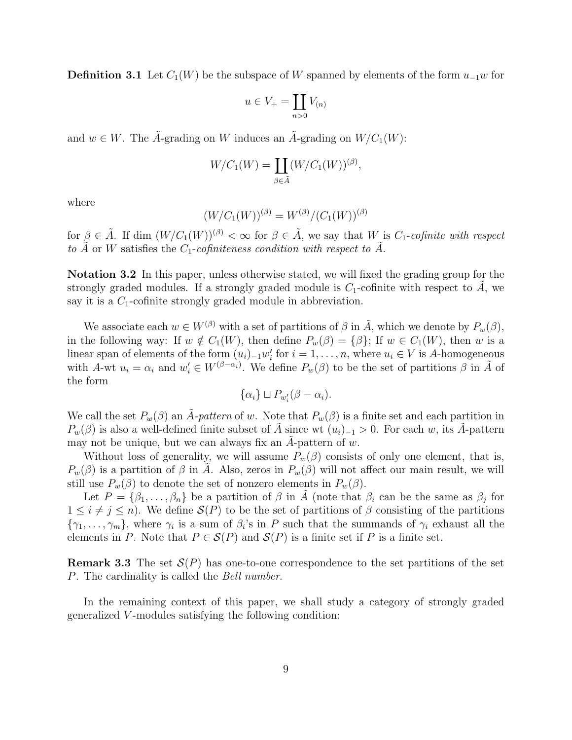**Definition 3.1** Let  $C_1(W)$  be the subspace of W spanned by elements of the form  $u_{-1}w$  for

$$
u \in V_+ = \coprod_{n>0} V_{(n)}
$$

and  $w \in W$ . The  $\hat{A}$ -grading on W induces an  $\hat{A}$ -grading on  $W/C_1(W)$ :

$$
W/C_1(W) = \coprod_{\beta \in \tilde{A}} (W/C_1(W))^{(\beta)},
$$

where

$$
(W/C_1(W))^{(\beta)} = W^{(\beta)}/(C_1(W))^{(\beta)}
$$

for  $\beta \in \tilde{A}$ . If dim  $(W/C_1(W))^{(\beta)} < \infty$  for  $\beta \in \tilde{A}$ , we say that W is  $C_1$ -cofinite with respect to  $\tilde{A}$  or W satisfies the  $C_1$ -cofiniteness condition with respect to  $\tilde{A}$ .

Notation 3.2 In this paper, unless otherwise stated, we will fixed the grading group for the strongly graded modules. If a strongly graded module is  $C_1$ -cofinite with respect to A, we say it is a  $C_1$ -cofinite strongly graded module in abbreviation.

We associate each  $w \in W^{(\beta)}$  with a set of partitions of  $\beta$  in  $\tilde{A}$ , which we denote by  $P_w(\beta)$ , in the following way: If  $w \notin C_1(W)$ , then define  $P_w(\beta) = {\beta}$ ; If  $w \in C_1(W)$ , then w is a linear span of elements of the form  $(u_i)_{-1}w'_i$  for  $i = 1, \ldots, n$ , where  $u_i \in V$  is A-homogeneous with A-wt  $u_i = \alpha_i$  and  $w'_i \in W^{(\beta - \alpha_i)}$ . We define  $P_w(\beta)$  to be the set of partitions  $\beta$  in  $\tilde{A}$  of the form

$$
\{\alpha_i\} \sqcup P_{w_i'}(\beta - \alpha_i).
$$

We call the set  $P_w(\beta)$  an  $\tilde{A}$ -pattern of w. Note that  $P_w(\beta)$  is a finite set and each partition in  $P_w(\beta)$  is also a well-defined finite subset of A since wt  $(u_i)_{-1} > 0$ . For each w, its A-pattern may not be unique, but we can always fix an A-pattern of  $w$ .

Without loss of generality, we will assume  $P_w(\beta)$  consists of only one element, that is,  $P_w(\beta)$  is a partition of  $\beta$  in A. Also, zeros in  $P_w(\beta)$  will not affect our main result, we will still use  $P_w(\beta)$  to denote the set of nonzero elements in  $P_w(\beta)$ .

Let  $P = {\beta_1, \ldots, \beta_n}$  be a partition of  $\beta$  in  $\tilde{A}$  (note that  $\beta_i$  can be the same as  $\beta_j$  for  $1 \leq i \neq j \leq n$ . We define  $\mathcal{S}(P)$  to be the set of partitions of  $\beta$  consisting of the partitions  $\{\gamma_1,\ldots,\gamma_m\}$ , where  $\gamma_i$  is a sum of  $\beta_i$ 's in P such that the summands of  $\gamma_i$  exhaust all the elements in P. Note that  $P \in \mathcal{S}(P)$  and  $\mathcal{S}(P)$  is a finite set if P is a finite set.

**Remark 3.3** The set  $\mathcal{S}(P)$  has one-to-one correspondence to the set partitions of the set P. The cardinality is called the *Bell number*.

In the remaining context of this paper, we shall study a category of strongly graded generalized V -modules satisfying the following condition: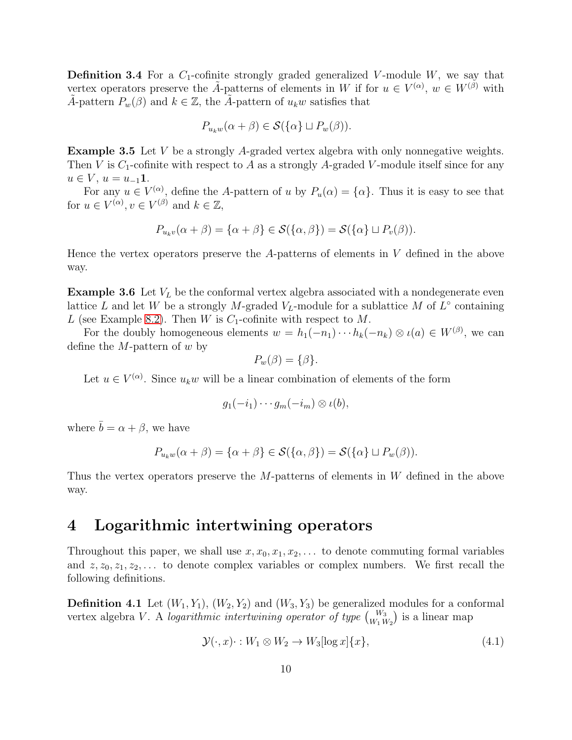**Definition 3.4** For a  $C_1$ -cofinite strongly graded generalized V-module W, we say that vertex operators preserve the  $\tilde{A}$ -patterns of elements in W if for  $u \in V^{(\alpha)}$ ,  $w \in W^{(\beta)}$  with A-pattern  $P_w(\beta)$  and  $k \in \mathbb{Z}$ , the A-pattern of  $u_k w$  satisfies that

$$
P_{u_k w}(\alpha + \beta) \in \mathcal{S}(\{\alpha\} \sqcup P_w(\beta)).
$$

Example 3.5 Let V be a strongly A-graded vertex algebra with only nonnegative weights. Then V is  $C_1$ -cofinite with respect to A as a strongly A-graded V-module itself since for any  $u \in V$ ,  $u = u_{-1}1$ .

For any  $u \in V^{(\alpha)}$ , define the A-pattern of u by  $P_u(\alpha) = {\alpha}$ . Thus it is easy to see that for  $u \in V^{(\alpha)}$ ,  $v \in V^{(\beta)}$  and  $k \in \mathbb{Z}$ ,

$$
P_{u_kv}(\alpha+\beta)=\{\alpha+\beta\}\in\mathcal{S}(\{\alpha,\beta\})=\mathcal{S}(\{\alpha\}\sqcup P_v(\beta)).
$$

Hence the vertex operators preserve the  $A$ -patterns of elements in  $V$  defined in the above way.

**Example 3.6** Let  $V<sub>L</sub>$  be the conformal vertex algebra associated with a nondegenerate even lattice L and let W be a strongly M-graded  $V_L$ -module for a sublattice M of  $L^{\circ}$  containing L (see Example [8.2\)](#page-21-0). Then W is  $C_1$ -cofinite with respect to M.

For the doubly homogeneous elements  $w = h_1(-n_1) \cdots h_k(-n_k) \otimes \iota(a) \in W^{(\beta)}$ , we can define the  $M$ -pattern of  $w$  by

$$
P_w(\beta) = \{\beta\}.
$$

Let  $u \in V^{(\alpha)}$ . Since  $u_k w$  will be a linear combination of elements of the form

$$
g_1(-i_1)\cdots g_m(-i_m)\otimes \iota(b),
$$

where  $\bar{b} = \alpha + \beta$ , we have

$$
P_{u_k w}(\alpha + \beta) = {\alpha + \beta} \in \mathcal{S}({\alpha, \beta}) = \mathcal{S}({\alpha} \cup P_w(\beta)).
$$

Thus the vertex operators preserve the  $M$ -patterns of elements in  $W$  defined in the above way.

#### 4 Logarithmic intertwining operators

Throughout this paper, we shall use  $x, x_0, x_1, x_2, \ldots$  to denote commuting formal variables and  $z, z_0, z_1, z_2, \ldots$  to denote complex variables or complex numbers. We first recall the following definitions.

<span id="page-9-0"></span>**Definition 4.1** Let  $(W_1, Y_1)$ ,  $(W_2, Y_2)$  and  $(W_3, Y_3)$  be generalized modules for a conformal vertex algebra V. A logarithmic intertwining operator of type  $\binom{W_3}{W_1 W_2}$  is a linear map

$$
\mathcal{Y}(\cdot, x) \cdot : W_1 \otimes W_2 \to W_3[\log x] \{x\},\tag{4.1}
$$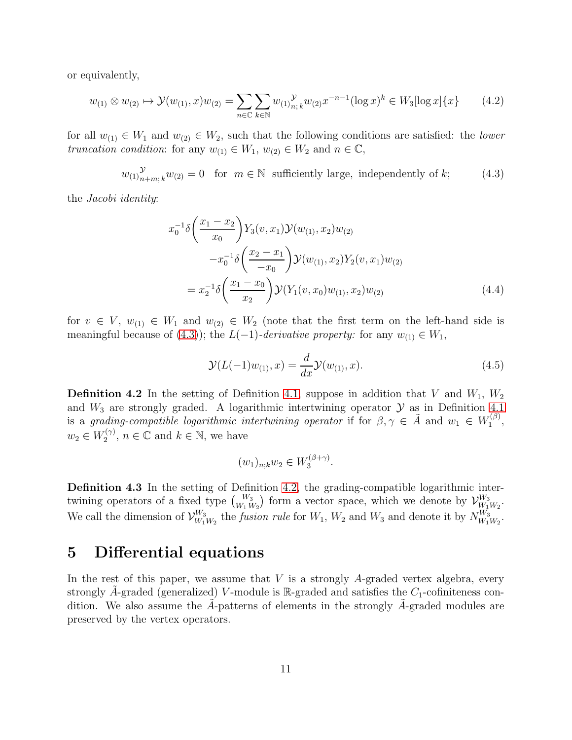or equivalently,

$$
w_{(1)} \otimes w_{(2)} \mapsto \mathcal{Y}(w_{(1)}, x)w_{(2)} = \sum_{n \in \mathbb{C}} \sum_{k \in \mathbb{N}} w_{(1)} \gamma_{n,k} w_{(2)} x^{-n-1} (\log x)^k \in W_3[\log x] \{x\} \tag{4.2}
$$

for all  $w_{(1)} \in W_1$  and  $w_{(2)} \in W_2$ , such that the following conditions are satisfied: the *lower* truncation condition: for any  $w_{(1)} \in W_1$ ,  $w_{(2)} \in W_2$  and  $n \in \mathbb{C}$ ,

<span id="page-10-0"></span>
$$
w_{(1)}^{\mathcal{Y}}_{n+m;k}w_{(2)} = 0 \quad \text{for} \quad m \in \mathbb{N} \quad \text{sufficiently large, independently of } k; \tag{4.3}
$$

the Jacobi identity:

$$
x_0^{-1}\delta\left(\frac{x_1 - x_2}{x_0}\right)Y_3(v, x_1)\mathcal{Y}(w_{(1)}, x_2)w_{(2)}
$$
  

$$
-x_0^{-1}\delta\left(\frac{x_2 - x_1}{-x_0}\right)\mathcal{Y}(w_{(1)}, x_2)Y_2(v, x_1)w_{(2)}
$$
  

$$
= x_2^{-1}\delta\left(\frac{x_1 - x_0}{x_2}\right)\mathcal{Y}(Y_1(v, x_0)w_{(1)}, x_2)w_{(2)}
$$
(4.4)

for  $v \in V$ ,  $w_{(1)} \in W_1$  and  $w_{(2)} \in W_2$  (note that the first term on the left-hand side is meaningful because of [\(4.3\)](#page-10-0)); the  $L(-1)$ -derivative property: for any  $w_{(1)} \in W_1$ ,

$$
\mathcal{Y}(L(-1)w_{(1)},x) = \frac{d}{dx}\mathcal{Y}(w_{(1)},x). \tag{4.5}
$$

<span id="page-10-1"></span>**Definition 4.2** In the setting of Definition [4.1,](#page-9-0) suppose in addition that V and  $W_1$ ,  $W_2$ and  $W_3$  are strongly graded. A logarithmic intertwining operator  $\mathcal Y$  as in Definition [4.1](#page-9-0) is a grading-compatible logarithmic intertwining operator if for  $\beta, \gamma \in \tilde{A}$  and  $w_1 \in W_1^{(\beta)}$  $\frac{\cdot}{1}^{\left(\rho\right)},$  $w_2 \in W_2^{(\gamma)}$  $x_2^{(\gamma)}$ ,  $n \in \mathbb{C}$  and  $k \in \mathbb{N}$ , we have

$$
(w_1)_{n;k}w_2\in W_3^{(\beta+\gamma)}.
$$

Definition 4.3 In the setting of Definition [4.2,](#page-10-1) the grading-compatible logarithmic intertwining operators of a fixed type  $\binom{W_3}{W_1 W_2}$  form a vector space, which we denote by  $\mathcal{V}_{W_1}^{W_3}$  $\frac{W_3}{W_1W_2}$ . We call the dimension of  $\mathcal{V}_{W_1}^{W_3}$  $W_{W_1W_2}^{W_3}$  the *fusion rule* for  $W_1$ ,  $W_2$  and  $W_3$  and denote it by  $N_{W_1}^{W_3}$  $\frac{W_3}{W_1W_2}$ .

#### 5 Differential equations

In the rest of this paper, we assume that  $V$  is a strongly A-graded vertex algebra, every strongly A-graded (generalized) V-module is  $\mathbb{R}$ -graded and satisfies the  $C_1$ -cofiniteness condition. We also assume the  $A$ -patterns of elements in the strongly  $A$ -graded modules are preserved by the vertex operators.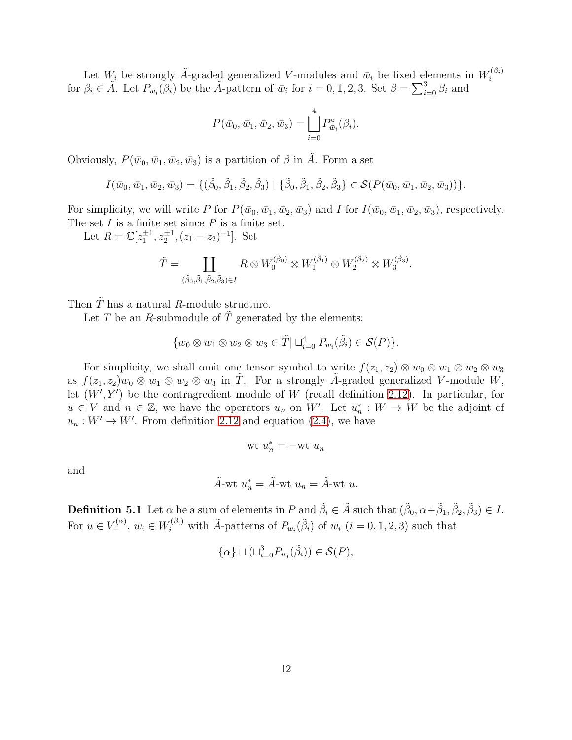Let  $W_i$  be strongly  $\tilde{A}$ -graded generalized V-modules and  $\bar{w}_i$  be fixed elements in  $W_i^{(\beta_i)}$ i for  $\beta_i \in \tilde{A}$ . Let  $P_{\bar{w}_i}(\beta_i)$  be the  $\tilde{A}$ -pattern of  $\bar{w}_i$  for  $i = 0, 1, 2, 3$ . Set  $\beta = \sum_{i=0}^3 \beta_i$  and

$$
P(\bar{w}_0, \bar{w}_1, \bar{w}_2, \bar{w}_3) = \bigsqcup_{i=0}^{4} P_{\bar{w}_i}^{\circ}(\beta_i).
$$

Obviously,  $P(\bar{w}_0,\bar{w}_1,\bar{w}_2,\bar{w}_3)$  is a partition of  $\beta$  in  $\tilde{A}$ . Form a set

$$
I(\bar{w}_0, \bar{w}_1, \bar{w}_2, \bar{w}_3) = \{(\tilde{\beta}_0, \tilde{\beta}_1, \tilde{\beta}_2, \tilde{\beta}_3) | \{\tilde{\beta}_0, \tilde{\beta}_1, \tilde{\beta}_2, \tilde{\beta}_3\} \in \mathcal{S}(P(\bar{w}_0, \bar{w}_1, \bar{w}_2, \bar{w}_3))\}.
$$

For simplicity, we will write P for  $P(\bar{w}_0,\bar{w}_1,\bar{w}_2,\bar{w}_3)$  and I for  $I(\bar{w}_0,\bar{w}_1,\bar{w}_2,\bar{w}_3)$ , respectively. The set  $I$  is a finite set since  $P$  is a finite set.

Let  $R = \mathbb{C}[z_1^{\pm 1}, z_2^{\pm 1}, (z_1 - z_2)^{-1}]$ . Set

$$
\tilde{T} = \coprod_{(\tilde{\beta}_0, \tilde{\beta}_1, \tilde{\beta}_2, \tilde{\beta}_3) \in I} R \otimes W_0^{(\tilde{\beta}_0)} \otimes W_1^{(\tilde{\beta}_1)} \otimes W_2^{(\tilde{\beta}_2)} \otimes W_3^{(\tilde{\beta}_3)}.
$$

Then  $\tilde{T}$  has a natural R-module structure.

Let T be an R-submodule of  $\overline{T}$  generated by the elements:

$$
\{w_0\otimes w_1\otimes w_2\otimes w_3\in\tilde{T}|\sqcup_{i=0}^4 P_{w_i}(\tilde{\beta}_i)\in\mathcal{S}(P)\}.
$$

For simplicity, we shall omit one tensor symbol to write  $f(z_1, z_2) \otimes w_0 \otimes w_1 \otimes w_2 \otimes w_3$ as  $f(z_1, z_2)w_0 \otimes w_1 \otimes w_2 \otimes w_3$  in  $\tilde{T}$ . For a strongly  $\tilde{A}$ -graded generalized V-module W, let  $(W', Y')$  be the contragredient module of W (recall definition [2.12\)](#page-7-0). In particular, for  $u \in V$  and  $n \in \mathbb{Z}$ , we have the operators  $u_n$  on W'. Let  $u_n^* : W \to W$  be the adjoint of  $u_n: W' \to W'$ . From definition [2.12](#page-7-0) and equation [\(2.4\)](#page-7-1), we have

$$
wt u_n^* = -wt u_n
$$

and

$$
\tilde{A}\text{-wt }u_n^* = \tilde{A}\text{-wt }u_n = \tilde{A}\text{-wt }u.
$$

<span id="page-11-0"></span>**Definition 5.1** Let  $\alpha$  be a sum of elements in P and  $\tilde{\beta}_i \in \tilde{A}$  such that  $(\tilde{\beta}_0, \alpha + \tilde{\beta}_1, \tilde{\beta}_2, \tilde{\beta}_3) \in I$ . For  $u \in V^{(\alpha)}_+$ ,  $w_i \in W^{(\tilde{\beta}_i)}_i$  with  $\tilde{A}$ -patterns of  $P_{w_i}(\tilde{\beta}_i)$  of  $w_i$   $(i = 0, 1, 2, 3)$  such that

$$
\{\alpha\} \sqcup (\sqcup_{i=0}^3 P_{w_i}(\tilde{\beta}_i)) \in \mathcal{S}(P),
$$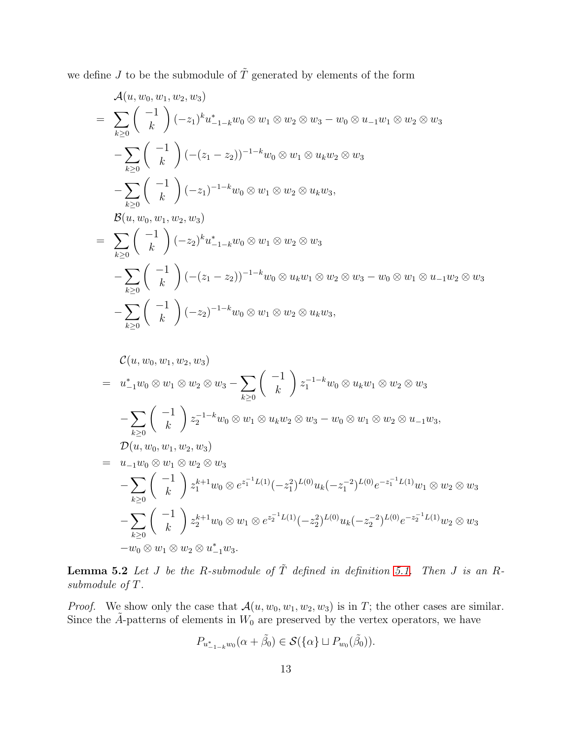we define  $J$  to be the submodule of  $\tilde{T}$  generated by elements of the form

$$
\mathcal{A}(u, w_0, w_1, w_2, w_3)
$$
\n
$$
= \sum_{k\geq 0} {\binom{-1}{k}} (-z_1)^k u_{-1-k}^* w_0 \otimes w_1 \otimes w_2 \otimes w_3 - w_0 \otimes u_{-1} w_1 \otimes w_2 \otimes w_3
$$
\n
$$
- \sum_{k\geq 0} {\binom{-1}{k}} (- (z_1 - z_2))^{-1-k} w_0 \otimes w_1 \otimes u_k w_2 \otimes w_3
$$
\n
$$
- \sum_{k\geq 0} {\binom{-1}{k}} (-z_1)^{-1-k} w_0 \otimes w_1 \otimes w_2 \otimes u_k w_3,
$$
\n
$$
\mathcal{B}(u, w_0, w_1, w_2, w_3)
$$
\n
$$
= \sum_{k\geq 0} {\binom{-1}{k}} (-z_2)^k u_{-1-k}^* w_0 \otimes w_1 \otimes w_2 \otimes w_3
$$

$$
-\sum_{k\geq 0} {\binom{-1}{k}} \left( -(z_1 - z_2) \right)^{-1-k} w_0 \otimes u_k w_1 \otimes w_2 \otimes w_3 - w_0 \otimes w_1 \otimes u_{-1} w_2 \otimes w_3
$$
  

$$
-\sum_{k\geq 0} {\binom{-1}{k}} \left( -z_2 \right)^{-1-k} w_0 \otimes w_1 \otimes w_2 \otimes u_k w_3,
$$

$$
\mathcal{C}(u, w_0, w_1, w_2, w_3)
$$
\n
$$
= u_{-1}^* w_0 \otimes w_1 \otimes w_2 \otimes w_3 - \sum_{k \geq 0} \begin{pmatrix} -1 \\ k \end{pmatrix} z_1^{-1-k} w_0 \otimes u_k w_1 \otimes w_2 \otimes w_3
$$
\n
$$
- \sum_{k \geq 0} \begin{pmatrix} -1 \\ k \end{pmatrix} z_2^{-1-k} w_0 \otimes w_1 \otimes u_k w_2 \otimes w_3 - w_0 \otimes w_1 \otimes w_2 \otimes u_{-1} w_3,
$$
\n
$$
\mathcal{D}(u, w_0, w_1, w_2, w_3)
$$
\n
$$
= u_{-1} w_0 \otimes w_1 \otimes w_2 \otimes w_3
$$
\n
$$
- \sum_{k \geq 0} \begin{pmatrix} -1 \\ k \end{pmatrix} z_1^{k+1} w_0 \otimes e^{z_1^{-1} L(1)} (-z_1^2)^{L(0)} u_k (-z_1^{-2})^{L(0)} e^{-z_1^{-1} L(1)} w_1 \otimes w_2 \otimes w_3
$$
\n
$$
- \sum_{k \geq 0} \begin{pmatrix} -1 \\ k \end{pmatrix} z_2^{k+1} w_0 \otimes w_1 \otimes e^{z_2^{-1} L(1)} (-z_2^2)^{L(0)} u_k (-z_2^{-2})^{L(0)} e^{-z_2^{-1} L(1)} w_2 \otimes w_3
$$
\n
$$
- w_0 \otimes w_1 \otimes w_2 \otimes u_{-1}^* w_3.
$$

<span id="page-12-0"></span>**Lemma 5.2** Let J be the R-submodule of  $\tilde{T}$  defined in definition [5.1.](#page-11-0) Then J is an Rsubmodule of T.

*Proof.* We show only the case that  $\mathcal{A}(u, w_0, w_1, w_2, w_3)$  is in T; the other cases are similar. Since the  $A$ -patterns of elements in  $W_0$  are preserved by the vertex operators, we have

$$
P_{u_{-1-k}^*w_0}(\alpha+\tilde{\beta}_0)\in\mathcal{S}(\{\alpha\}\sqcup P_{w_0}(\tilde{\beta}_0)).
$$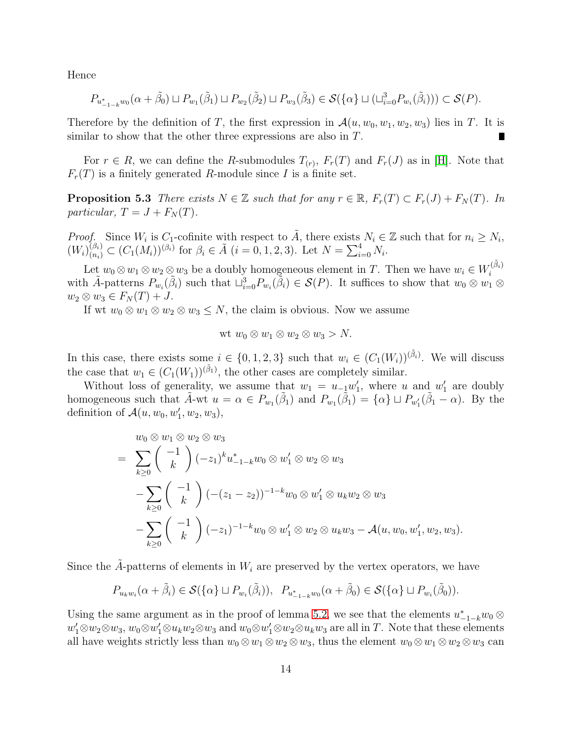Hence

$$
P_{u_{-1-k}^*w_0}(\alpha+\tilde{\beta}_0)\sqcup P_{w_1}(\tilde{\beta}_1)\sqcup P_{w_2}(\tilde{\beta}_2)\sqcup P_{w_3}(\tilde{\beta}_3)\in\mathcal{S}(\{\alpha\}\sqcup(\sqcup_{i=0}^3 P_{w_i}(\tilde{\beta}_i)))\subset\mathcal{S}(P).
$$

Therefore by the definition of T, the first expression in  $\mathcal{A}(u, w_0, w_1, w_2, w_3)$  lies in T. It is similar to show that the other three expressions are also in  $T$ .

<span id="page-13-0"></span>For  $r \in R$ , we can define the R-submodules  $T_{(r)}$ ,  $F_r(T)$  and  $F_r(J)$  as in [\[H\]](#page-24-0). Note that  $F_r(T)$  is a finitely generated R-module since I is a finite set.

**Proposition 5.3** There exists  $N \in \mathbb{Z}$  such that for any  $r \in \mathbb{R}$ ,  $F_r(T) \subset F_r(J) + F_N(T)$ . In particular,  $T = J + F<sub>N</sub>(T)$ .

*Proof.* Since  $W_i$  is  $C_1$ -cofinite with respect to  $\tilde{A}$ , there exists  $N_i \in \mathbb{Z}$  such that for  $n_i \geq N_i$ ,  $(W_i)_{(n_i)}^{(\beta_i)} \subset (C_1(M_i))^{(\beta_i)}$  for  $\beta_i \in \tilde{A}$   $(i = 0, 1, 2, 3)$ . Let  $N = \sum_{i=0}^4 N_i$ .

Let  $w_0 \otimes w_1 \otimes w_2 \otimes w_3$  be a doubly homogeneous element in T. Then we have  $w_i \in W_i^{(\tilde{\beta}_i)}$ i with  $\tilde{A}$ -patterns  $P_{w_i}(\tilde{\beta}_i)$  such that  $\sqcup_{i=0}^3 P_{w_i}(\tilde{\beta}_i) \in \mathcal{S}(P)$ . It suffices to show that  $w_0 \otimes w_1 \otimes$  $w_2 \otimes w_3 \in F_N(T) + J.$ 

If wt  $w_0 \otimes w_1 \otimes w_2 \otimes w_3 \leq N$ , the claim is obvious. Now we assume

$$
wt w_0 \otimes w_1 \otimes w_2 \otimes w_3 > N.
$$

In this case, there exists some  $i \in \{0, 1, 2, 3\}$  such that  $w_i \in (C_1(W_i))^{(\tilde{\beta}_i)}$ . We will discuss the case that  $w_1 \in (C_1(W_1))^{(\tilde{\beta}_1)}$ , the other cases are completely similar.

Without loss of generality, we assume that  $w_1 = u_{-1}w'_1$ , where u and  $w'_1$  are doubly homogeneous such that  $\tilde{A}$ -wt  $u = \alpha \in P_{w_1}(\tilde{\beta}_1)$  and  $P_{w_1}(\tilde{\beta}_1) = {\alpha} \cup P_{w'_1}(\tilde{\beta}_1 - \alpha)$ . By the definition of  $\mathcal{A}(u, w_0, w'_1, w_2, w_3)$ ,

$$
w_0 \otimes w_1 \otimes w_2 \otimes w_3
$$
  
= 
$$
\sum_{k\geq 0} {\binom{-1}{k}} (-z_1)^k u_{-1-k}^* w_0 \otimes w_1' \otimes w_2 \otimes w_3
$$
  

$$
-\sum_{k\geq 0} {\binom{-1}{k}} (- (z_1 - z_2))^{-1-k} w_0 \otimes w_1' \otimes u_k w_2 \otimes w_3
$$
  

$$
-\sum_{k\geq 0} {\binom{-1}{k}} (-z_1)^{-1-k} w_0 \otimes w_1' \otimes w_2 \otimes u_k w_3 - \mathcal{A}(u, w_0, w_1', w_2, w_3).
$$

Since the  $A$ -patterns of elements in  $W_i$  are preserved by the vertex operators, we have

$$
P_{u_kw_i}(\alpha+\tilde{\beta}_i)\in\mathcal{S}(\{\alpha\}\sqcup P_{w_i}(\tilde{\beta}_i)),\ P_{u_{-1-k}^*w_0}(\alpha+\tilde{\beta}_0)\in\mathcal{S}(\{\alpha\}\sqcup P_{w_i}(\tilde{\beta}_0)).
$$

Using the same argument as in the proof of lemma [5.2,](#page-12-0) we see that the elements  $u_{-1-k}^* w_0 \otimes$  $w'_1 \otimes w_2 \otimes w_3$ ,  $w_0 \otimes w'_1 \otimes u_k w_2 \otimes w_3$  and  $w_0 \otimes w'_1 \otimes w_2 \otimes u_k w_3$  are all in T. Note that these elements all have weights strictly less than  $w_0 \otimes w_1 \otimes w_2 \otimes w_3$ , thus the element  $w_0 \otimes w_1 \otimes w_2 \otimes w_3$  can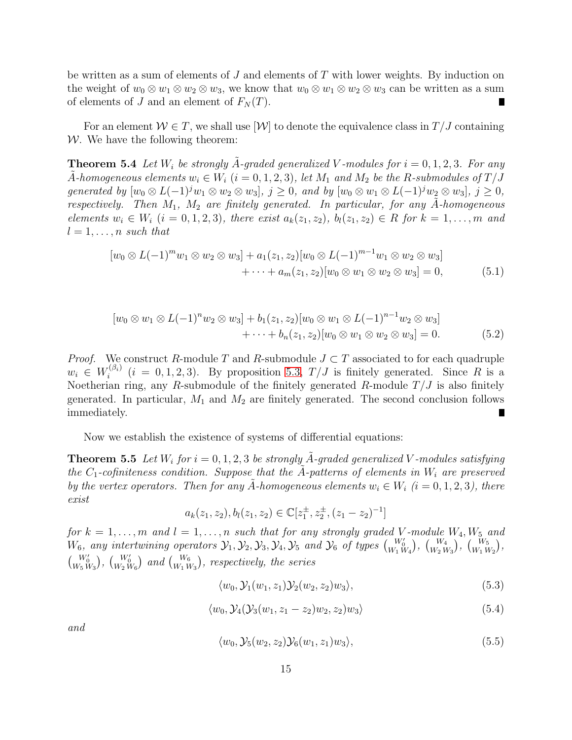be written as a sum of elements of  $J$  and elements of  $T$  with lower weights. By induction on the weight of  $w_0 \otimes w_1 \otimes w_2 \otimes w_3$ , we know that  $w_0 \otimes w_1 \otimes w_2 \otimes w_3$  can be written as a sum of elements of J and an element of  $F<sub>N</sub>(T)$ . Г

For an element  $\mathcal{W} \in T$ , we shall use  $[\mathcal{W}]$  to denote the equivalence class in  $T/J$  containing  $W$ . We have the following theorem:

**Theorem 5.4** Let  $W_i$  be strongly A-graded generalized V-modules for  $i = 0, 1, 2, 3$ . For any A-homogeneous elements  $w_i \in W_i$   $(i = 0, 1, 2, 3)$ , let  $M_1$  and  $M_2$  be the R-submodules of  $T/J$ generated by  $[w_0 \otimes L(-1)^j w_1 \otimes w_2 \otimes w_3], j \geq 0$ , and by  $[w_0 \otimes w_1 \otimes L(-1)^j w_2 \otimes w_3], j \geq 0$ , respectively. Then  $M_1$ ,  $M_2$  are finitely generated. In particular, for any A-homogeneous elements  $w_i \in W_i$   $(i = 0, 1, 2, 3)$ , there exist  $a_k(z_1, z_2)$ ,  $b_l(z_1, z_2) \in R$  for  $k = 1, \ldots, m$  and  $l = 1, \ldots, n$  such that

<span id="page-14-0"></span>
$$
[w_0 \otimes L(-1)^m w_1 \otimes w_2 \otimes w_3] + a_1(z_1, z_2)[w_0 \otimes L(-1)^{m-1} w_1 \otimes w_2 \otimes w_3] + \cdots + a_m(z_1, z_2)[w_0 \otimes w_1 \otimes w_2 \otimes w_3] = 0,
$$
 (5.1)

<span id="page-14-1"></span>
$$
[w_0 \otimes w_1 \otimes L(-1)^n w_2 \otimes w_3] + b_1(z_1, z_2)[w_0 \otimes w_1 \otimes L(-1)^{n-1} w_2 \otimes w_3] + \cdots + b_n(z_1, z_2)[w_0 \otimes w_1 \otimes w_2 \otimes w_3] = 0.
$$
 (5.2)

*Proof.* We construct R-module T and R-submodule  $J \subset T$  associated to for each quadruple  $w_i \in W_i^{(\beta_i)}$  $i^{(p_i)}$   $(i = 0, 1, 2, 3)$ . By proposition [5.3,](#page-13-0)  $T/J$  is finitely generated. Since R is a Noetherian ring, any R-submodule of the finitely generated R-module  $T/J$  is also finitely generated. In particular,  $M_1$  and  $M_2$  are finitely generated. The second conclusion follows immediately. П

Now we establish the existence of systems of differential equations:

**Theorem 5.5** Let  $W_i$  for  $i = 0, 1, 2, 3$  be strongly  $\tilde{A}$ -graded generalized V-modules satisfying the  $C_1$ -cofiniteness condition. Suppose that the A-patterns of elements in  $W_i$  are preserved by the vertex operators. Then for any A-homogeneous elements  $w_i \in W_i$   $(i = 0, 1, 2, 3)$ , there exist

<span id="page-14-5"></span>
$$
a_k(z_1, z_2), b_l(z_1, z_2) \in \mathbb{C}[z_1^{\pm}, z_2^{\pm}, (z_1 - z_2)^{-1}]
$$

for  $k = 1, \ldots, m$  and  $l = 1, \ldots, n$  such that for any strongly graded V-module  $W_4, W_5$  and  $W_6$ , any intertwining operators  $\mathcal{Y}_1, \mathcal{Y}_2, \mathcal{Y}_3, \mathcal{Y}_4, \mathcal{Y}_5$  and  $\mathcal{Y}_6$  of types  $\binom{W_0'}{W_1\,W_4}$ ,  $\binom{W_4}{W_2\,W_3}$ ,  $\binom{W_5}{W_1\,W_2}$ ,  $\begin{pmatrix} W_0' \\ W_5 W_3 \end{pmatrix}$ ,  $\begin{pmatrix} W_0' \\ W_2 W_6 \end{pmatrix}$  and  $\begin{pmatrix} W_6 \\ W_1 W_3 \end{pmatrix}$ , respectively, the series

<span id="page-14-2"></span>
$$
\langle w_0, \mathcal{Y}_1(w_1, z_1) \mathcal{Y}_2(w_2, z_2) w_3 \rangle, \tag{5.3}
$$

<span id="page-14-3"></span>
$$
\langle w_0, \mathcal{Y}_4(\mathcal{Y}_3(w_1, z_1 - z_2)w_2, z_2)w_3 \rangle \tag{5.4}
$$

and

<span id="page-14-4"></span>
$$
\langle w_0, \mathcal{Y}_5(w_2, z_2) \mathcal{Y}_6(w_1, z_1) w_3 \rangle, \tag{5.5}
$$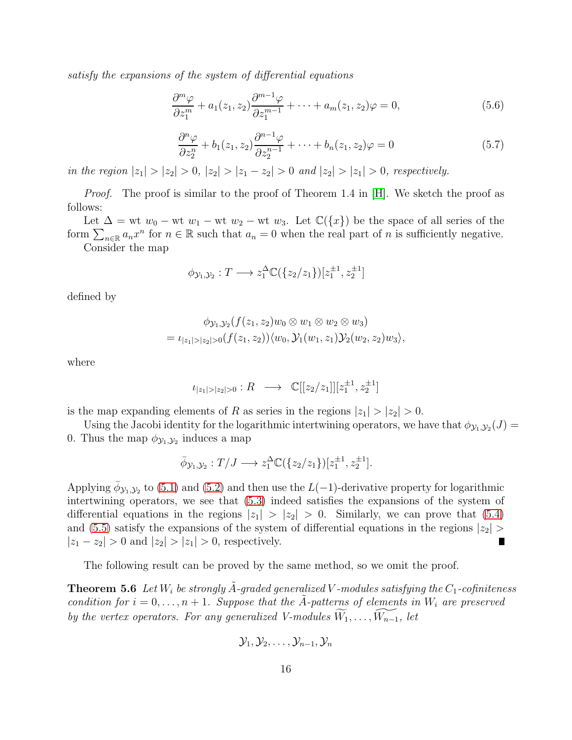satisfy the expansions of the system of differential equations

<span id="page-15-0"></span>
$$
\frac{\partial^m \varphi}{\partial z_1^m} + a_1(z_1, z_2) \frac{\partial^{m-1} \varphi}{\partial z_1^{m-1}} + \dots + a_m(z_1, z_2) \varphi = 0, \tag{5.6}
$$

<span id="page-15-1"></span>
$$
\frac{\partial^n \varphi}{\partial z_2^n} + b_1(z_1, z_2) \frac{\partial^{n-1} \varphi}{\partial z_2^{n-1}} + \dots + b_n(z_1, z_2) \varphi = 0 \tag{5.7}
$$

in the region  $|z_1| > |z_2| > 0$ ,  $|z_2| > |z_1 - z_2| > 0$  and  $|z_2| > |z_1| > 0$ , respectively.

*Proof.* The proof is similar to the proof of Theorem 1.4 in [\[H\]](#page-24-0). We sketch the proof as follows:

Let  $\Delta = \text{wt } w_0 - \text{wt } w_1 - \text{wt } w_2 - \text{wt } w_3$ . Let  $\mathbb{C}(\lbrace x \rbrace)$  be the space of all series of the form  $\sum_{n\in\mathbb{R}} a_n x^n$  for  $n \in \mathbb{R}$  such that  $a_n = 0$  when the real part of n is sufficiently negative. Consider the map

$$
\phi_{\mathcal{Y}_1,\mathcal{Y}_2}: T \longrightarrow z_1^{\Delta} \mathbb{C}(\{z_2/z_1\})[z_1^{\pm 1}, z_2^{\pm 1}]
$$

defined by

$$
\phi_{\mathcal{Y}_1,\mathcal{Y}_2}(f(z_1,z_2)w_0 \otimes w_1 \otimes w_2 \otimes w_3) = \iota_{|z_1|>|z_2|>0}(f(z_1,z_2))\langle w_0, \mathcal{Y}_1(w_1,z_1)\mathcal{Y}_2(w_2,z_2)w_3\rangle,
$$

where

$$
\iota_{|z_1|>|z_2|>0} : R \longrightarrow \mathbb{C}[[z_2/z_1]][z_1^{\pm 1}, z_2^{\pm 1}]
$$

is the map expanding elements of R as series in the regions  $|z_1| > |z_2| > 0$ .

Using the Jacobi identity for the logarithmic intertwining operators, we have that  $\phi_{\mathcal{Y}_1,\mathcal{Y}_2}(J)$ 0. Thus the map  $\phi_{\mathcal{Y}_1,\mathcal{Y}_2}$  induces a map

$$
\bar{\phi}_{\mathcal{Y}_1,\mathcal{Y}_2}:T/J\longrightarrow z_1^\Delta\mathbb{C}(\{z_2/z_1\})[z_1^{\pm 1},z_2^{\pm 1}].
$$

Applying  $\bar{\phi}_{\mathcal{Y}_1,\mathcal{Y}_2}$  to [\(5.1\)](#page-14-0) and [\(5.2\)](#page-14-1) and then use the L(-1)-derivative property for logarithmic intertwining operators, we see that [\(5.3\)](#page-14-2) indeed satisfies the expansions of the system of differential equations in the regions  $|z_1| > |z_2| > 0$ . Similarly, we can prove that [\(5.4\)](#page-14-3) and [\(5.5\)](#page-14-4) satisfy the expansions of the system of differential equations in the regions  $|z_2|$  $|z_1 - z_2| > 0$  and  $|z_2| > |z_1| > 0$ , respectively. П

The following result can be proved by the same method, so we omit the proof.

**Theorem 5.6** Let  $W_i$  be strongly A-graded generalized V-modules satisfying the  $C_1$ -cofiniteness condition for  $i = 0, \ldots, n + 1$ . Suppose that the A-patterns of elements in  $W_i$  are preserved by the vertex operators. For any generalized V-modules  $W_1, \ldots, W_{n-1}$ , let

<span id="page-15-2"></span>
$$
\mathcal{Y}_1, \mathcal{Y}_2, \ldots, \mathcal{Y}_{n-1}, \mathcal{Y}_n
$$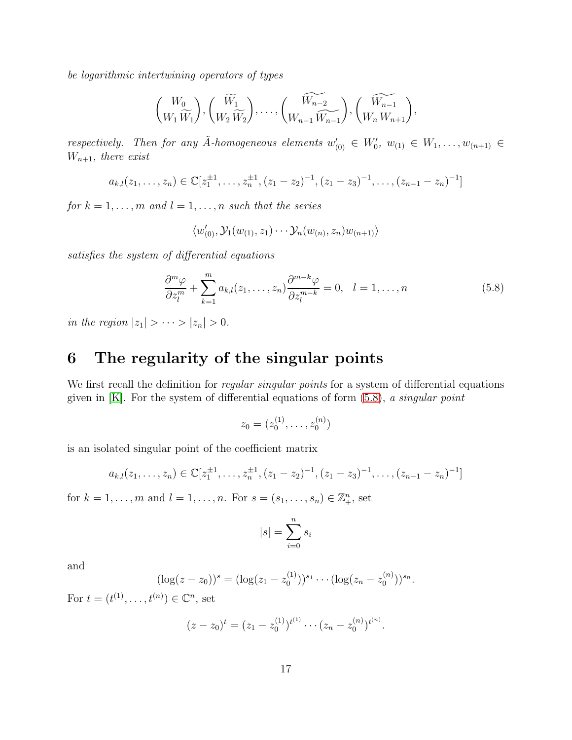be logarithmic intertwining operators of types

$$
{W_0 \choose W_1 \widetilde{W}_1}, \left(\widetilde{W_1 \choose W_2 \widetilde{W}_2}, \ldots, \left(\widetilde{W_{n-2} \choose W_{n-1} \widetilde{W_{n-1}}}\right), \left(\widetilde{W_{n-1} \choose W_n W_{n+1}}\right),\right.
$$

respectively. Then for any  $\tilde{A}$ -homogeneous elements  $w'_{(0)} \in W'_0$ ,  $w_{(1)} \in W_1, \ldots, w_{(n+1)} \in$  $W_{n+1}$ , there exist

$$
a_{k,l}(z_1,\ldots,z_n)\in\mathbb{C}[z_1^{\pm 1},\ldots,z_n^{\pm 1},(z_1-z_2)^{-1},(z_1-z_3)^{-1},\ldots,(z_{n-1}-z_n)^{-1}]
$$

for  $k = 1, \ldots, m$  and  $l = 1, \ldots, n$  such that the series

$$
\langle w'_{(0)}, \mathcal{Y}_1(w_{(1)}, z_1) \cdots \mathcal{Y}_n(w_{(n)}, z_n) w_{(n+1)} \rangle
$$

satisfies the system of differential equations

<span id="page-16-0"></span>
$$
\frac{\partial^m \varphi}{\partial z_l^m} + \sum_{k=1}^m a_{k,l}(z_1, \dots, z_n) \frac{\partial^{m-k} \varphi}{\partial z_l^{m-k}} = 0, \quad l = 1, \dots, n
$$
\n(5.8)

in the region  $|z_1| > \cdots > |z_n| > 0$ .

## 6 The regularity of the singular points

We first recall the definition for *regular singular points* for a system of differential equations given in  $[K]$ . For the system of differential equations of form  $(5.8)$ , a singular point

$$
z_0 = (z_0^{(1)}, \ldots, z_0^{(n)})
$$

is an isolated singular point of the coefficient matrix

$$
a_{k,l}(z_1,\ldots,z_n)\in\mathbb{C}[z_1^{\pm 1},\ldots,z_n^{\pm 1},(z_1-z_2)^{-1},(z_1-z_3)^{-1},\ldots,(z_{n-1}-z_n)^{-1}]
$$

for  $k = 1, ..., m$  and  $l = 1, ..., n$ . For  $s = (s_1, ..., s_n) \in \mathbb{Z}_+^n$ , set

$$
|s| = \sum_{i=0}^{n} s_i
$$

and

$$
(\log(z-z_0))^s = (\log(z_1-z_0^{(1)}))^{s_1} \cdots (\log(z_n-z_0^{(n)}))^{s_n}.
$$

For  $t = (t^{(1)}, ..., t^{(n)}) \in \mathbb{C}^n$ , set

$$
(z-z_0)^t = (z_1 - z_0^{(1)})^{t^{(1)}} \cdots (z_n - z_0^{(n)})^{t^{(n)}}.
$$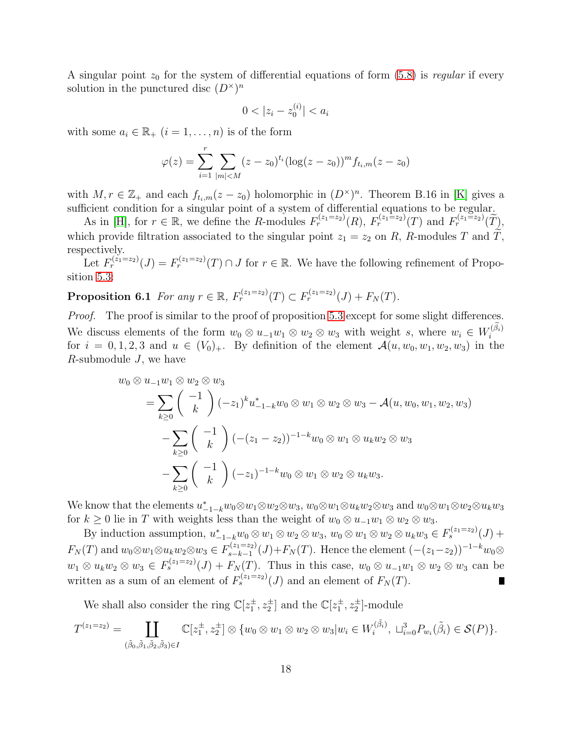A singular point  $z_0$  for the system of differential equations of form [\(5.8\)](#page-16-0) is regular if every solution in the punctured disc  $(D^{\times})^n$ 

$$
0 < |z_i - z_0^{(i)}| < a_i
$$

with some  $a_i \in \mathbb{R}_+$   $(i = 1, \ldots, n)$  is of the form

$$
\varphi(z) = \sum_{i=1}^{r} \sum_{|m| < M} (z - z_0)^{t_i} (\log(z - z_0))^m f_{t_i, m}(z - z_0)
$$

with  $M, r \in \mathbb{Z}_+$  and each  $f_{t_i,m}(z-z_0)$  holomorphic in  $(D^{\times})^n$ . Theorem B.16 in [\[K\]](#page-25-6) gives a sufficient condition for a singular point of a system of differential equations to be regular.

As in [\[H\]](#page-24-0), for  $r \in \mathbb{R}$ , we define the R-modules  $F_r^{(z_1=z_2)}(R)$ ,  $F_r^{(z_1=z_2)}(T)$  and  $F_r^{(z_1=z_2)}(\tilde{T})$ , which provide filtration associated to the singular point  $z_1 = z_2$  on R, R-modules T and  $\widetilde{T}$ , respectively.

<span id="page-17-0"></span>Let  $F_r^{(z_1=z_2)}(J) = F_r^{(z_1=z_2)}(T) \cap J$  for  $r \in \mathbb{R}$ . We have the following refinement of Proposition [5.3:](#page-13-0)

**Proposition 6.1** For any  $r \in \mathbb{R}$ ,  $F_r^{(z_1=z_2)}(T) \subset F_r^{(z_1=z_2)}(J) + F_N(T)$ .

Proof. The proof is similar to the proof of proposition [5.3](#page-13-0) except for some slight differences. We discuss elements of the form  $w_0 \otimes u_{-1}w_1 \otimes w_2 \otimes w_3$  with weight s, where  $w_i \in W_i^{(\tilde{\beta}_i)}$ i for  $i = 0, 1, 2, 3$  and  $u \in (V_0)_+$ . By definition of the element  $\mathcal{A}(u, w_0, w_1, w_2, w_3)$  in the  $R$ -submodule  $J$ , we have

$$
w_0 \otimes u_{-1}w_1 \otimes w_2 \otimes w_3
$$
  
=  $\sum_{k\geq 0} {\binom{-1}{k}} (-z_1)^k u_{-1-k}^* w_0 \otimes w_1 \otimes w_2 \otimes w_3 - \mathcal{A}(u, w_0, w_1, w_2, w_3)$   
-  $\sum_{k\geq 0} {\binom{-1}{k}} (- (z_1 - z_2))^{-1-k} w_0 \otimes w_1 \otimes u_k w_2 \otimes w_3$   
-  $\sum_{k\geq 0} {\binom{-1}{k}} (-z_1)^{-1-k} w_0 \otimes w_1 \otimes w_2 \otimes u_k w_3.$ 

We know that the elements  $u_{-1-k}^* w_0 \otimes w_1 \otimes w_2 \otimes w_3$ ,  $w_0 \otimes w_1 \otimes u_k w_2 \otimes w_3$  and  $w_0 \otimes w_1 \otimes w_2 \otimes u_k w_3$ for  $k \geq 0$  lie in T with weights less than the weight of  $w_0 \otimes u_{-1}w_1 \otimes w_2 \otimes w_3$ .

By induction assumption,  $u_{-1-k}^* w_0 \otimes w_1 \otimes w_2 \otimes w_3$ ,  $w_0 \otimes w_1 \otimes w_2 \otimes u_k w_3 \in F_s^{(z_1=z_2)}(J)$  +  $F_N(T)$  and  $w_0 \otimes w_1 \otimes u_k w_2 \otimes w_3 \in F_{s-k-1}^{(z_1=z_2)}$  $s_{s-k-1}(J) + F_N(T)$ . Hence the element  $(-(z_1-z_2))^{-1-k}w_0$ ⊗  $w_1 \otimes u_k w_2 \otimes w_3 \in F_s^{(z_1=z_2)}(J) + F_N(T)$ . Thus in this case,  $w_0 \otimes u_{-1}w_1 \otimes w_2 \otimes w_3$  can be written as a sum of an element of  $F_s^{(z_1=z_2)}(J)$  and an element of  $F_N(T)$ .

We shall also consider the ring  $\mathbb{C}[z_1^{\pm}, z_2^{\pm}]$  and the  $\mathbb{C}[z_1^{\pm}, z_2^{\pm}]$ -module

$$
T^{(z_1=z_2)} = \coprod_{(\tilde{\beta}_0, \tilde{\beta}_1, \tilde{\beta}_2, \tilde{\beta}_3) \in I} \mathbb{C}[z_1^{\pm}, z_2^{\pm}] \otimes \{w_0 \otimes w_1 \otimes w_2 \otimes w_3 | w_i \in W_i^{(\tilde{\beta}_i)}, \sqcup_{i=0}^3 P_{w_i}(\tilde{\beta}_i) \in \mathcal{S}(P)\}.
$$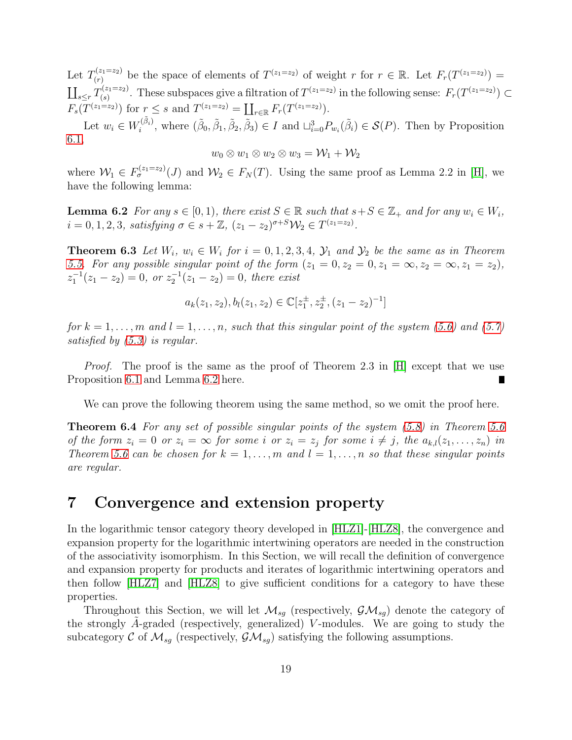Let  $T^{(z_1=z_2)}_{(r)}$  $(n(r))$  be the space of elements of  $T^{(z_1=z_2)}$  of weight r for  $r \in \mathbb{R}$ . Let  $F_r(T^{(z_1=z_2)}) =$  $\coprod_{s\leq r} T_{(s)}^{(z_1=z_2)}$  $S^{(z_1=z_2)}_{(s)}$ . These subspaces give a filtration of  $T^{(z_1=z_2)}$  in the following sense:  $F_r(T^{(z_1=z_2)}) \subset T$  $F_s(T^{(z_1=z_2)})$  for  $r \leq s$  and  $T^{(z_1=z_2)} = \coprod_{r \in \mathbb{R}} F_r(T^{(z_1=z_2)})$ .

Let  $w_i \in W_i^{(\tilde{\beta}_i)}$ <sup> $(\beta_i)$ </sup>, where  $(\tilde{\beta}_0, \tilde{\beta}_1, \tilde{\beta}_2, \tilde{\beta}_3) \in I$  and  $\sqcup_{i=0}^3 P_{w_i}(\tilde{\beta}_i) \in \mathcal{S}(P)$ . Then by Proposition [6.1,](#page-17-0)

$$
w_0 \otimes w_1 \otimes w_2 \otimes w_3 = \mathcal{W}_1 + \mathcal{W}_2
$$

<span id="page-18-0"></span>where  $\mathcal{W}_1 \in F_{\sigma}^{(z_1=z_2)}(J)$  and  $\mathcal{W}_2 \in F_N(T)$ . Using the same proof as Lemma 2.2 in [\[H\]](#page-24-0), we have the following lemma:

**Lemma 6.2** For any  $s \in [0,1)$ , there exist  $S \in \mathbb{R}$  such that  $s+S \in \mathbb{Z}_+$  and for any  $w_i \in W_i$ ,  $i = 0, 1, 2, 3$ , satisfying  $\sigma \in s + \mathbb{Z}$ ,  $(z_1 - z_2)^{\sigma + S} \mathcal{W}_2 \in T^{(z_1 = z_2)}$ .

**Theorem 6.3** Let  $W_i$ ,  $w_i \in W_i$  for  $i = 0, 1, 2, 3, 4$ ,  $\mathcal{Y}_1$  and  $\mathcal{Y}_2$  be the same as in Theorem [5.5.](#page-14-5) For any possible singular point of the form  $(z_1 = 0, z_2 = 0, z_1 = \infty, z_2 = \infty, z_1 = z_2)$ ,  $z_1^{-1}(z_1 - z_2) = 0$ , or  $z_2^{-1}(z_1 - z_2) = 0$ , there exist

<span id="page-18-1"></span>
$$
a_k(z_1, z_2), b_l(z_1, z_2) \in \mathbb{C}[z_1^{\pm}, z_2^{\pm}, (z_1 - z_2)^{-1}]
$$

for  $k = 1, \ldots, m$  and  $l = 1, \ldots, n$ , such that this singular point of the system [\(5.6\)](#page-15-0) and [\(5.7\)](#page-15-1) satisfied by [\(5.3\)](#page-14-2) is regular.

*Proof.* The proof is the same as the proof of Theorem 2.3 in  $[H]$  except that we use Proposition [6.1](#page-17-0) and Lemma [6.2](#page-18-0) here.

We can prove the following theorem using the same method, so we omit the proof here.

**Theorem 6.4** For any set of possible singular points of the system [\(5.8\)](#page-16-0) in Theorem [5.6](#page-15-2) of the form  $z_i = 0$  or  $z_i = \infty$  for some i or  $z_i = z_j$  for some  $i \neq j$ , the  $a_{k,l}(z_1, \ldots, z_n)$  in Theorem [5.6](#page-15-2) can be chosen for  $k = 1, \ldots, m$  and  $l = 1, \ldots, n$  so that these singular points are regular.

## 7 Convergence and extension property

In the logarithmic tensor category theory developed in [\[HLZ1\]](#page-24-1)-[\[HLZ8\]](#page-25-5), the convergence and expansion property for the logarithmic intertwining operators are needed in the construction of the associativity isomorphism. In this Section, we will recall the definition of convergence and expansion property for products and iterates of logarithmic intertwining operators and then follow [\[HLZ7\]](#page-25-0) and [\[HLZ8\]](#page-25-5) to give sufficient conditions for a category to have these properties.

Throughout this Section, we will let  $\mathcal{M}_{sg}$  (respectively,  $\mathcal{GM}_{sg}$ ) denote the category of the strongly  $A$ -graded (respectively, generalized) V-modules. We are going to study the subcategory C of  $\mathcal{M}_{sq}$  (respectively,  $\mathcal{GM}_{sq}$ ) satisfying the following assumptions.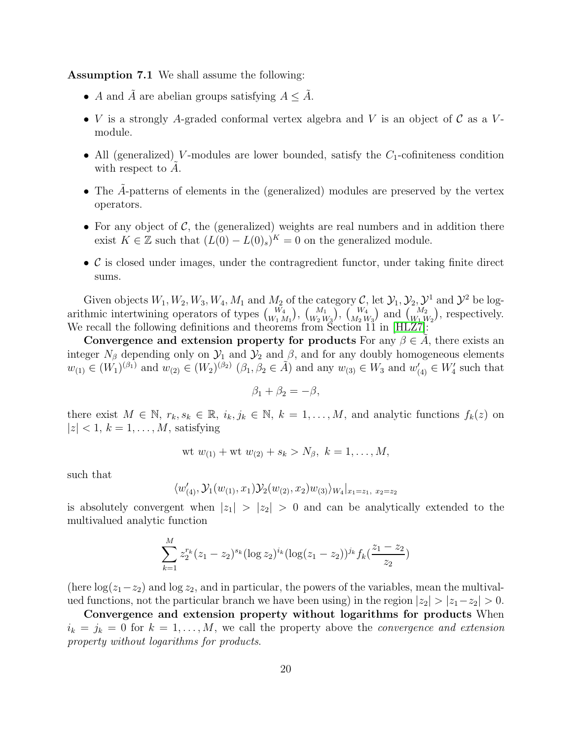Assumption 7.1 We shall assume the following:

- A and A are abelian groups satisfying  $A \leq A$ .
- V is a strongly A-graded conformal vertex algebra and V is an object of C as a Vmodule.
- All (generalized) V-modules are lower bounded, satisfy the  $C_1$ -cofiniteness condition with respect to  $A$ .
- The  $\hat{A}$ -patterns of elements in the (generalized) modules are preserved by the vertex operators.
- For any object of  $\mathcal{C}$ , the (generalized) weights are real numbers and in addition there exist  $K \in \mathbb{Z}$  such that  $(L(0) - L(0)_s)^K = 0$  on the generalized module.
- $\bullet$  C is closed under images, under the contragredient functor, under taking finite direct sums.

Given objects  $W_1, W_2, W_3, W_4, M_1$  and  $M_2$  of the category  $\mathcal{C}$ , let  $\mathcal{Y}_1, \mathcal{Y}_2, \mathcal{Y}^1$  and  $\mathcal{Y}^2$  be logarithmic intertwining operators of types  $\binom{W_4}{W_1 M_1}$ ,  $\binom{M_1}{W_2 W_3}$ ,  $\binom{W_4}{M_2 W_3}$  and  $\binom{M_2}{W_1 W_2}$ , respectively. We recall the following definitions and theorems from Section 11 in [\[HLZ7\]](#page-25-0):

Convergence and extension property for products For any  $\beta \in A$ , there exists an integer  $N_\beta$  depending only on  $\mathcal{Y}_1$  and  $\mathcal{Y}_2$  and  $\beta$ , and for any doubly homogeneous elements  $w_{(1)} \in (W_1)^{(\beta_1)}$  and  $w_{(2)} \in (W_2)^{(\beta_2)}$   $(\beta_1, \beta_2 \in \tilde{A})$  and any  $w_{(3)} \in W_3$  and  $w'_{(4)} \in W'_4$  such that

$$
\beta_1 + \beta_2 = -\beta,
$$

there exist  $M \in \mathbb{N}, r_k, s_k \in \mathbb{R}, i_k, j_k \in \mathbb{N}, k = 1, ..., M$ , and analytic functions  $f_k(z)$  on  $|z| < 1, k = 1, \ldots, M$ , satisfying

wt 
$$
w_{(1)}
$$
 + wt  $w_{(2)}$  +  $s_k$  >  $N_\beta$ ,  $k = 1, ..., M$ ,

such that

$$
\langle w'_{(4)}, \mathcal{Y}_1(w_{(1)}, x_1) \mathcal{Y}_2(w_{(2)}, x_2) w_{(3)} \rangle_{W_4}|_{x_1 = z_1, x_2 = z_2}
$$

is absolutely convergent when  $|z_1| > |z_2| > 0$  and can be analytically extended to the multivalued analytic function

$$
\sum_{k=1}^{M} z_2^{r_k} (z_1 - z_2)^{s_k} (\log z_2)^{i_k} (\log (z_1 - z_2))^{j_k} f_k(\frac{z_1 - z_2}{z_2})
$$

(here  $\log(z_1-z_2)$  and  $\log z_2$ , and in particular, the powers of the variables, mean the multivalued functions, not the particular branch we have been using) in the region  $|z_2| > |z_1 - z_2| > 0$ .

Convergence and extension property without logarithms for products When  $i_k = j_k = 0$  for  $k = 1, ..., M$ , we call the property above the *convergence and extension* property without logarithms for products.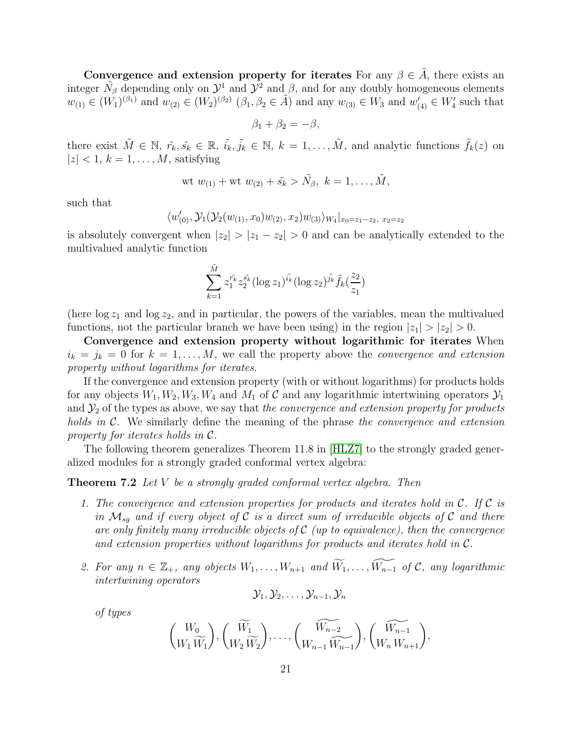Convergence and extension property for iterates For any  $\beta \in \tilde{A}$ , there exists an integer  $\tilde{N}_{\beta}$  depending only on  $\mathcal{Y}^1$  and  $\mathcal{Y}^2$  and  $\beta$ , and for any doubly homogeneous elements  $w_{(1)} \in (W_1)^{(\beta_1)}$  and  $w_{(2)} \in (W_2)^{(\beta_2)}$   $(\beta_1, \beta_2 \in \tilde{A})$  and any  $w_{(3)} \in W_3$  and  $w'_{(4)} \in W'_4$  such that

$$
\beta_1 + \beta_2 = -\beta,
$$

there exist  $\tilde{M} \in \mathbb{N}, \ \tilde{r_k}, \tilde{s_k} \in \mathbb{R}, \ \tilde{i_k}, \tilde{j_k} \in \mathbb{N}, \ k = 1, \ldots, \tilde{M}$ , and analytic functions  $\tilde{f_k}(z)$  on  $|z| < 1, k = 1, \ldots, M$ , satisfying

wt 
$$
w_{(1)}
$$
 + wt  $w_{(2)}$  +  $\tilde{s_k} > \tilde{N_\beta}$ ,  $k = 1, ..., \tilde{M}$ ,

such that

$$
\langle w'_{(0)}, \mathcal{Y}_{1}(\mathcal{Y}_{2}(w_{(1)}, x_{0})w_{(2)}, x_{2})w_{(3)}\rangle_{W_{4}}|_{x_{0}=z_{1}-z_{2}, x_{2}=z_{2}}
$$

is absolutely convergent when  $|z_2| > |z_1 - z_2| > 0$  and can be analytically extended to the multivalued analytic function

$$
\sum_{k=1}^{\tilde{M}} z_1^{\tilde{r_k}} z_2^{\tilde{s_k}} (\log z_1)^{\tilde{i_k}} (\log z_2)^{\tilde{j_k}} \tilde{f_k}(\frac{z_2}{z_1})
$$

(here  $\log z_1$  and  $\log z_2$ , and in particular, the powers of the variables, mean the multivalued functions, not the particular branch we have been using) in the region  $|z_1| > |z_2| > 0$ .

Convergence and extension property without logarithmic for iterates When  $i_k = j_k = 0$  for  $k = 1, ..., M$ , we call the property above the *convergence and extension* property without logarithms for iterates.

If the convergence and extension property (with or without logarithms) for products holds for any objects  $W_1, W_2, W_3, W_4$  and  $M_1$  of C and any logarithmic intertwining operators  $\mathcal{Y}_1$ and  $\mathcal{Y}_2$  of the types as above, we say that the convergence and extension property for products holds in  $\mathcal{C}$ . We similarly define the meaning of the phrase the convergence and extension property for iterates holds in C.

The following theorem generalizes Theorem 11.8 in [\[HLZ7\]](#page-25-0) to the strongly graded generalized modules for a strongly graded conformal vertex algebra:

#### **Theorem 7.2** Let  $V$  be a strongly graded conformal vertex algebra. Then

- 1. The convergence and extension properties for products and iterates hold in  $\mathcal{C}$ . If  $\mathcal{C}$  is in  $\mathcal{M}_{sq}$  and if every object of C is a direct sum of irreducible objects of C and there are only finitely many irreducible objects of  $\mathcal C$  (up to equivalence), then the convergence and extension properties without logarithms for products and iterates hold in C.
- 2. For any  $n \in \mathbb{Z}_+$ , any objects  $W_1, \ldots, W_{n+1}$  and  $\widetilde{W}_1, \ldots, \widetilde{W_{n-1}}$  of  $\mathcal{C}$ , any logarithmic intertwining operators

$$
\mathcal{Y}_1, \mathcal{Y}_2, \ldots, \mathcal{Y}_{n-1}, \mathcal{Y}_n
$$

of types

$$
{W_0 \choose W_1 \widetilde{W}_1}, \left(\widetilde{W_1 \choose W_2 \widetilde{W}_2}, \ldots, \left(\widetilde{W_{n-2 \choose W_{n-1} \widetilde{W}_{n-1}}}\right), \left(\widetilde{W_{n-1 \choose W_{n} W_{n+1}}}\right),\right.
$$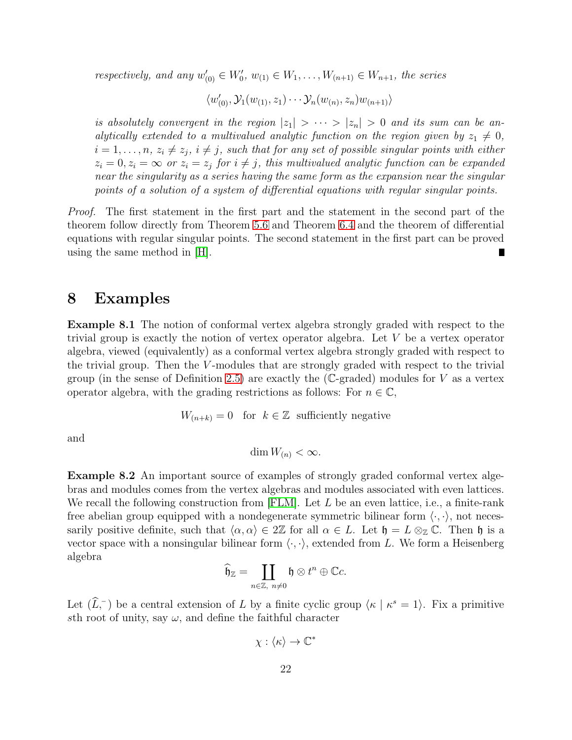respectively, and any  $w'_{(0)} \in W'_0$ ,  $w_{(1)} \in W_1, \ldots, W_{(n+1)} \in W_{n+1}$ , the series

$$
\langle w'_{(0)}, \mathcal{Y}_1(w_{(1)}, z_1) \cdots \mathcal{Y}_n(w_{(n)}, z_n) w_{(n+1)} \rangle
$$

is absolutely convergent in the region  $|z_1| > \cdots > |z_n| > 0$  and its sum can be analytically extended to a multivalued analytic function on the region given by  $z_1 \neq 0$ ,  $i=1,\ldots,n$ ,  $z_i\neq z_j$ ,  $i\neq j$ , such that for any set of possible singular points with either  $z_i = 0, z_i = \infty$  or  $z_i = z_j$  for  $i \neq j$ , this multivalued analytic function can be expanded near the singularity as a series having the same form as the expansion near the singular points of a solution of a system of differential equations with regular singular points.

Proof. The first statement in the first part and the statement in the second part of the theorem follow directly from Theorem [5.6](#page-15-2) and Theorem [6.4](#page-18-1) and the theorem of differential equations with regular singular points. The second statement in the first part can be proved using the same method in [\[H\]](#page-24-0).

#### 8 Examples

<span id="page-21-1"></span>Example 8.1 The notion of conformal vertex algebra strongly graded with respect to the trivial group is exactly the notion of vertex operator algebra. Let V be a vertex operator algebra, viewed (equivalently) as a conformal vertex algebra strongly graded with respect to the trivial group. Then the  $V$ -modules that are strongly graded with respect to the trivial group (in the sense of Definition [2.5\)](#page-5-0) are exactly the (C-graded) modules for  $V$  as a vertex operator algebra, with the grading restrictions as follows: For  $n \in \mathbb{C}$ ,

 $W_{(n+k)} = 0$  for  $k \in \mathbb{Z}$  sufficiently negative

and

$$
\dim W_{(n)} < \infty.
$$

<span id="page-21-0"></span>Example 8.2 An important source of examples of strongly graded conformal vertex algebras and modules comes from the vertex algebras and modules associated with even lattices. We recall the following construction from [\[FLM\]](#page-24-4). Let  $L$  be an even lattice, i.e., a finite-rank free abelian group equipped with a nondegenerate symmetric bilinear form  $\langle \cdot, \cdot \rangle$ , not necessarily positive definite, such that  $\langle \alpha, \alpha \rangle \in 2\mathbb{Z}$  for all  $\alpha \in L$ . Let  $\mathfrak{h} = L \otimes_{\mathbb{Z}} \mathbb{C}$ . Then  $\mathfrak{h}$  is a vector space with a nonsingular bilinear form  $\langle \cdot, \cdot \rangle$ , extended from L. We form a Heisenberg algebra

$$
\widehat{\mathfrak{h}}_{\mathbb{Z}}=\coprod_{n\in\mathbb{Z},\ n\neq 0}\mathfrak{h}\otimes t^n\oplus\mathbb{C}c.
$$

Let  $(\widehat{L}, \overline{\phantom{a}})$  be a central extension of L by a finite cyclic group  $\langle \kappa | \kappa^s = 1 \rangle$ . Fix a primitive sth root of unity, say  $\omega$ , and define the faithful character

 $\chi : \langle \kappa \rangle \to \mathbb{C}^*$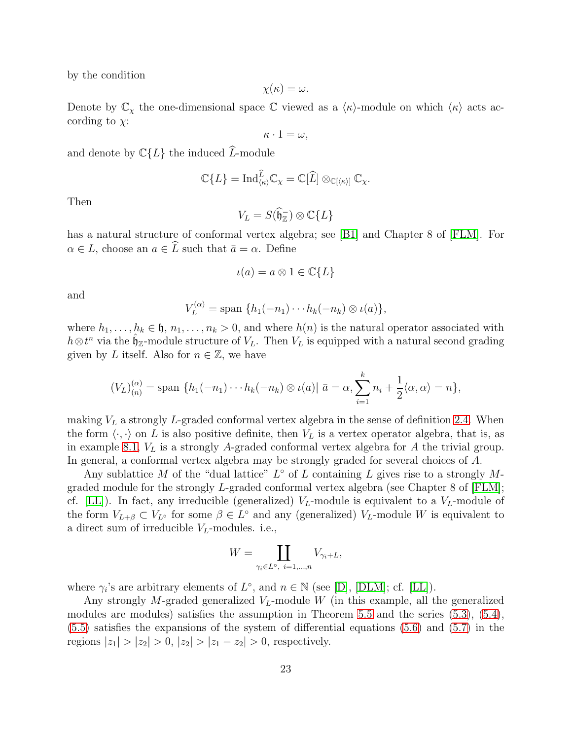by the condition

$$
\chi(\kappa)=\omega.
$$

Denote by  $\mathbb{C}_{\chi}$  the one-dimensional space  $\mathbb C$  viewed as a  $\langle \kappa \rangle$ -module on which  $\langle \kappa \rangle$  acts according to  $\chi$ :

$$
\kappa \cdot 1 = \omega,
$$

and denote by  $\mathbb{C}{L}$  the induced  $\widehat{L}$ -module

$$
\mathbb{C}\{L\}=\mathrm{Ind}_{\langle\kappa\rangle}^{\widehat{L}}\mathbb{C}_{\chi}=\mathbb{C}[\widehat{L}]\otimes_{\mathbb{C}[\langle\kappa\rangle]}\mathbb{C}_{\chi}.
$$

Then

$$
V_L = S(\widehat{\mathfrak{h}}_{\mathbb{Z}}) \otimes \mathbb{C}{L}
$$

has a natural structure of conformal vertex algebra; see [\[B1\]](#page-24-2) and Chapter 8 of [\[FLM\]](#page-24-4). For  $\alpha \in L$ , choose an  $a \in \widehat{L}$  such that  $\bar{a} = \alpha$ . Define

$$
\iota(a) = a \otimes 1 \in \mathbb{C}{L}
$$

and

$$
V_L^{(\alpha)} = \text{span} \{ h_1(-n_1) \cdots h_k(-n_k) \otimes \iota(a) \},
$$

where  $h_1, \ldots, h_k \in \mathfrak{h}, n_1, \ldots, n_k > 0$ , and where  $h(n)$  is the natural operator associated with  $h \otimes t^n$  via the  $\hat{\mathfrak{h}}_{\mathbb{Z}}$ -module structure of  $V_L$ . Then  $V_L$  is equipped with a natural second grading given by L itself. Also for  $n \in \mathbb{Z}$ , we have

$$
(V_L)_{(n)}^{(\alpha)} = \text{span }\{h_1(-n_1)\cdots h_k(-n_k)\otimes \iota(a)|\bar{a} = \alpha, \sum_{i=1}^k n_i + \frac{1}{2}\langle \alpha, \alpha \rangle = n\},\
$$

making  $V<sub>L</sub>$  a strongly L-graded conformal vertex algebra in the sense of definition [2.4.](#page-5-1) When the form  $\langle \cdot, \cdot \rangle$  on L is also positive definite, then  $V_L$  is a vertex operator algebra, that is, as in example [8.1,](#page-21-1)  $V_L$  is a strongly A-graded conformal vertex algebra for A the trivial group. In general, a conformal vertex algebra may be strongly graded for several choices of A.

Any sublattice M of the "dual lattice"  $L^{\circ}$  of L containing L gives rise to a strongly Mgraded module for the strongly L-graded conformal vertex algebra (see Chapter 8 of [\[FLM\]](#page-24-4); cf. [\[LL\]](#page-25-7)). In fact, any irreducible (generalized)  $V_L$ -module is equivalent to a  $V_L$ -module of the form  $V_{L+\beta} \subset V_{L^{\circ}}$  for some  $\beta \in L^{\circ}$  and any (generalized)  $V_{L}$ -module W is equivalent to a direct sum of irreducible  $V_L$ -modules. i.e.,

$$
W=\coprod_{\gamma_i\in L^{\mathrm{o}},\ i=1,\ldots,n}V_{\gamma_i+L},
$$

where  $\gamma_i$ 's are arbitrary elements of  $L^{\circ}$ , and  $n \in \mathbb{N}$  (see [\[D\]](#page-24-5), [\[DLM\]](#page-24-6); cf. [\[LL\]](#page-25-7)).

Any strongly M-graded generalized  $V<sub>L</sub>$ -module W (in this example, all the generalized modules are modules) satisfies the assumption in Theorem [5.5](#page-14-5) and the series [\(5.3\)](#page-14-2), [\(5.4\)](#page-14-3), [\(5.5\)](#page-14-4) satisfies the expansions of the system of differential equations [\(5.6\)](#page-15-0) and [\(5.7\)](#page-15-1) in the regions  $|z_1| > |z_2| > 0$ ,  $|z_2| > |z_1 - z_2| > 0$ , respectively.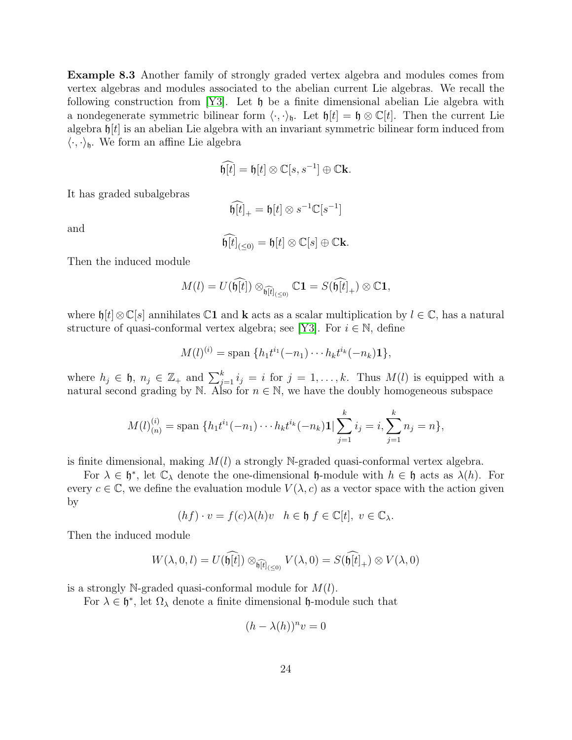Example 8.3 Another family of strongly graded vertex algebra and modules comes from vertex algebras and modules associated to the abelian current Lie algebras. We recall the following construction from [\[Y3\]](#page-25-8). Let  $\mathfrak h$  be a finite dimensional abelian Lie algebra with a nondegenerate symmetric bilinear form  $\langle \cdot, \cdot \rangle_{\mathfrak{h}}$ . Let  $\mathfrak{h}[t] = \mathfrak{h} \otimes \mathbb{C}[t]$ . Then the current Lie algebra  $\mathfrak{h}[t]$  is an abelian Lie algebra with an invariant symmetric bilinear form induced from  $\langle \cdot, \cdot \rangle_{\mathfrak{h}}$ . We form an affine Lie algebra

$$
\widehat{\mathfrak{h}[t]} = \mathfrak{h}[t] \otimes \mathbb{C}[s, s^{-1}] \oplus \mathbb{C} \mathbf{k}.
$$

It has graded subalgebras

$$
\widehat{\mathfrak{h}[t]}_{+}=\mathfrak{h}[t]\otimes s^{-1}\mathbb{C}[s^{-1}]
$$

and

$$
\widehat{\mathfrak{h}[t]}_{(\leq 0)} = \mathfrak{h}[t] \otimes \mathbb{C}[s] \oplus \mathbb{C} \mathbf{k}.
$$

Then the induced module

$$
M(l) = U(\widehat{\mathfrak{h}[t]}) \otimes_{\widehat{\mathfrak{h}[t]_{(\leq 0)}}} \mathbb{C} \mathbf{1} = S(\widehat{\mathfrak{h}[t]}_+) \otimes \mathbb{C} \mathbf{1},
$$

where  $\mathfrak{h}[t]\otimes\mathbb{C}[s]$  annihilates  $\mathbb{C}1$  and **k** acts as a scalar multiplication by  $l\in\mathbb{C}$ , has a natural structure of quasi-conformal vertex algebra; see [\[Y3\]](#page-25-8). For  $i \in \mathbb{N}$ , define

$$
M(l)^{(i)} = \text{span} \{ h_1 t^{i_1}(-n_1) \cdots h_k t^{i_k}(-n_k) \mathbf{1} \},
$$

where  $h_j \in \mathfrak{h}, n_j \in \mathbb{Z}_+$  and  $\sum_{j=1}^k i_j = i$  for  $j = 1, \ldots, k$ . Thus  $M(l)$  is equipped with a natural second grading by N. Also for  $n \in \mathbb{N}$ , we have the doubly homogeneous subspace

$$
M(l)_{(n)}^{(i)} = \text{span }\{h_1 t^{i_1}(-n_1) \cdots h_k t^{i_k}(-n_k) \mathbf{1} \mid \sum_{j=1}^k i_j = i, \sum_{j=1}^k n_j = n \},\
$$

is finite dimensional, making  $M(l)$  a strongly N-graded quasi-conformal vertex algebra.

For  $\lambda \in \mathfrak{h}^*$ , let  $\mathbb{C}_{\lambda}$  denote the one-dimensional  $\mathfrak{h}$ -module with  $h \in \mathfrak{h}$  acts as  $\lambda(h)$ . For every  $c \in \mathbb{C}$ , we define the evaluation module  $V(\lambda, c)$  as a vector space with the action given by

$$
(hf) \cdot v = f(c)\lambda(h)v \quad h \in \mathfrak{h} \ f \in \mathbb{C}[t], \ v \in \mathbb{C}_{\lambda}.
$$

Then the induced module

$$
W(\lambda,0,l) = U(\widehat{\mathfrak{h}[t]}) \otimes_{\widehat{\mathfrak{h}[t]_{(\leq 0)}}} V(\lambda,0) = S(\widehat{\mathfrak{h}[t]_+}) \otimes V(\lambda,0)
$$

is a strongly N-graded quasi-conformal module for  $M(l)$ .

For  $\lambda \in \mathfrak{h}^*$ , let  $\Omega_{\lambda}$  denote a finite dimensional  $\mathfrak{h}$ -module such that

$$
(h - \lambda(h))^n v = 0
$$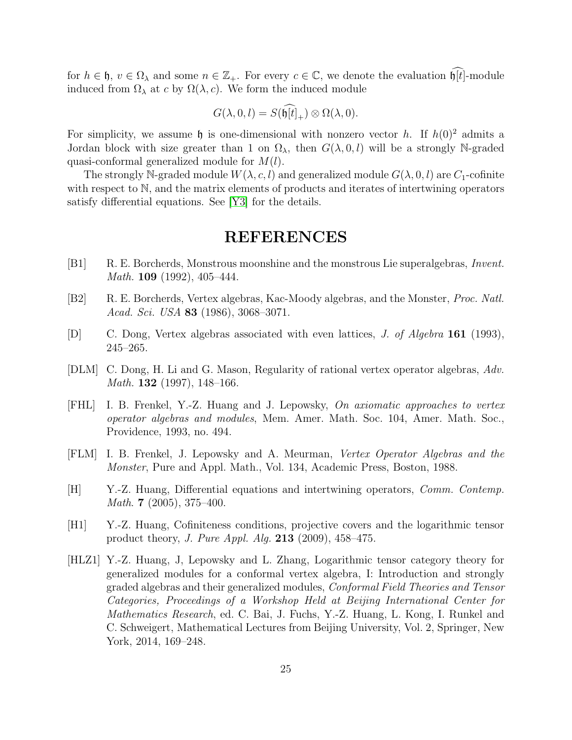for  $h \in \mathfrak{h}$ ,  $v \in \Omega_\lambda$  and some  $n \in \mathbb{Z}_+$ . For every  $c \in \mathbb{C}$ , we denote the evaluation  $\widehat{\mathfrak{h}[t]}$ -module induced from  $\Omega_{\lambda}$  at c by  $\Omega(\lambda, c)$ . We form the induced module

$$
G(\lambda, 0, l) = S(\widehat{\mathfrak{h}[t]_+}) \otimes \Omega(\lambda, 0).
$$

For simplicity, we assume  $\mathfrak h$  is one-dimensional with nonzero vector h. If  $h(0)^2$  admits a Jordan block with size greater than 1 on  $\Omega_{\lambda}$ , then  $G(\lambda, 0, l)$  will be a strongly N-graded quasi-conformal generalized module for  $M(l)$ .

The strongly N-graded module  $W(\lambda, c, l)$  and generalized module  $G(\lambda, 0, l)$  are  $C_1$ -cofinite with respect to N, and the matrix elements of products and iterates of intertwining operators satisfy differential equations. See [\[Y3\]](#page-25-8) for the details.

#### REFERENCES

- <span id="page-24-2"></span>[B1] R. E. Borcherds, Monstrous moonshine and the monstrous Lie superalgebras, *Invent.* Math. 109 (1992), 405–444.
- [B2] R. E. Borcherds, Vertex algebras, Kac-Moody algebras, and the Monster, Proc. Natl. Acad. Sci. USA **83** (1986), 3068–3071.
- <span id="page-24-5"></span>[D] C. Dong, Vertex algebras associated with even lattices, J. of Algebra 161 (1993), 245–265.
- <span id="page-24-6"></span>[DLM] C. Dong, H. Li and G. Mason, Regularity of rational vertex operator algebras, Adv. *Math.* **132** (1997), 148–166.
- <span id="page-24-3"></span>[FHL] I. B. Frenkel, Y.-Z. Huang and J. Lepowsky, On axiomatic approaches to vertex operator algebras and modules, Mem. Amer. Math. Soc. 104, Amer. Math. Soc., Providence, 1993, no. 494.
- <span id="page-24-4"></span>[FLM] I. B. Frenkel, J. Lepowsky and A. Meurman, Vertex Operator Algebras and the Monster, Pure and Appl. Math., Vol. 134, Academic Press, Boston, 1988.
- <span id="page-24-0"></span>[H] Y.-Z. Huang, Differential equations and intertwining operators, Comm. Contemp. *Math.* 7 (2005), 375–400.
- [H1] Y.-Z. Huang, Cofiniteness conditions, projective covers and the logarithmic tensor product theory, J. Pure Appl. Alg. 213 (2009), 458–475.
- <span id="page-24-1"></span>[HLZ1] Y.-Z. Huang, J, Lepowsky and L. Zhang, Logarithmic tensor category theory for generalized modules for a conformal vertex algebra, I: Introduction and strongly graded algebras and their generalized modules, Conformal Field Theories and Tensor Categories, Proceedings of a Workshop Held at Beijing International Center for Mathematics Research, ed. C. Bai, J. Fuchs, Y.-Z. Huang, L. Kong, I. Runkel and C. Schweigert, Mathematical Lectures from Beijing University, Vol. 2, Springer, New York, 2014, 169–248.